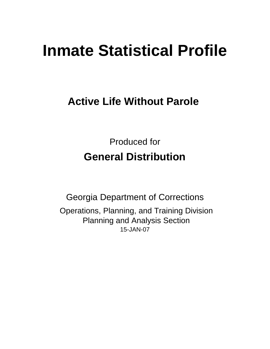# **Inmate Statistical Profile**

# **Active Life Without Parole**

Produced for **General Distribution**

15-JAN-07 Georgia Department of Corrections Operations, Planning, and Training Division Planning and Analysis Section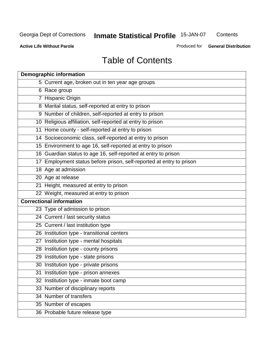**Contents** 

**Active Life Without Parole** 

Produced for **General Distribution**

# Table of Contents

| <b>Demographic information</b>                                       |
|----------------------------------------------------------------------|
| 5 Current age, broken out in ten year age groups                     |
| 6 Race group                                                         |
| 7 Hispanic Origin                                                    |
| 8 Marital status, self-reported at entry to prison                   |
| 9 Number of children, self-reported at entry to prison               |
| 10 Religious affiliation, self-reported at entry to prison           |
| 11 Home county - self-reported at entry to prison                    |
| 14 Socioeconomic class, self-reported at entry to prison             |
| 15 Environment to age 16, self-reported at entry to prison           |
| 16 Guardian status to age 16, self-reported at entry to prison       |
| 17 Employment status before prison, self-reported at entry to prison |
| 18 Age at admission                                                  |
| 20 Age at release                                                    |
| 21 Height, measured at entry to prison                               |
| 22 Weight, measured at entry to prison                               |
| <b>Correctional information</b>                                      |
| 23 Type of admission to prison                                       |
| 24 Current / last security status                                    |
| 25 Current / last institution type                                   |
| 26 Institution type - transitional centers                           |
| 27 Institution type - mental hospitals                               |
| 28 Institution type - county prisons                                 |
| 29 Institution type - state prisons                                  |
| 30 Institution type - private prisons                                |
| 31 Institution type - prison annexes                                 |
| 32 Institution type - inmate boot camp                               |
| 33 Number of disciplinary reports                                    |
| 34 Number of transfers                                               |
| 35 Number of escapes                                                 |
| 36 Probable future release type                                      |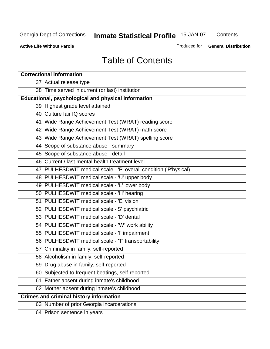**Contents** 

**Active Life Without Parole** 

Produced for **General Distribution**

# Table of Contents

| <b>Correctional information</b>                                  |
|------------------------------------------------------------------|
| 37 Actual release type                                           |
| 38 Time served in current (or last) institution                  |
| <b>Educational, psychological and physical information</b>       |
| 39 Highest grade level attained                                  |
| 40 Culture fair IQ scores                                        |
| 41 Wide Range Achievement Test (WRAT) reading score              |
| 42 Wide Range Achievement Test (WRAT) math score                 |
| 43 Wide Range Achievement Test (WRAT) spelling score             |
| 44 Scope of substance abuse - summary                            |
| 45 Scope of substance abuse - detail                             |
| 46 Current / last mental health treatment level                  |
| 47 PULHESDWIT medical scale - 'P' overall condition ('P'hysical) |
| 48 PULHESDWIT medical scale - 'U' upper body                     |
| 49 PULHESDWIT medical scale - 'L' lower body                     |
| 50 PULHESDWIT medical scale - 'H' hearing                        |
| 51 PULHESDWIT medical scale - 'E' vision                         |
| 52 PULHESDWIT medical scale -'S' psychiatric                     |
| 53 PULHESDWIT medical scale - 'D' dental                         |
| 54 PULHESDWIT medical scale - 'W' work ability                   |
| 55 PULHESDWIT medical scale - 'I' impairment                     |
| 56 PULHESDWIT medical scale - 'T' transportability               |
| 57 Criminality in family, self-reported                          |
| 58 Alcoholism in family, self-reported                           |
| 59 Drug abuse in family, self-reported                           |
| 60 Subjected to frequent beatings, self-reported                 |
| Father absent during inmate's childhood<br>61                    |
| 62 Mother absent during inmate's childhood                       |
| <b>Crimes and criminal history information</b>                   |
| 63 Number of prior Georgia incarcerations                        |
| 64 Prison sentence in years                                      |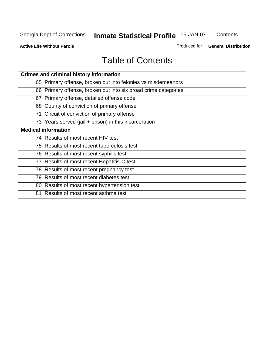**Contents** 

**Active Life Without Parole** 

Produced for **General Distribution**

# Table of Contents

| <b>Crimes and criminal history information</b>                 |
|----------------------------------------------------------------|
| 65 Primary offense, broken out into felonies vs misdemeanors   |
| 66 Primary offense, broken out into six broad crime categories |
| 67 Primary offense, detailed offense code                      |
| 68 County of conviction of primary offense                     |
| 71 Circuit of conviction of primary offense                    |
| 73 Years served (jail + prison) in this incarceration          |
| <b>Medical information</b>                                     |
| 74 Results of most recent HIV test                             |
| 75 Results of most recent tuberculosis test                    |
| 76 Results of most recent syphilis test                        |
| 77 Results of most recent Hepatitis-C test                     |
| 78 Results of most recent pregnancy test                       |
| 79 Results of most recent diabetes test                        |
| 80 Results of most recent hypertension test                    |
| 81 Results of most recent asthma test                          |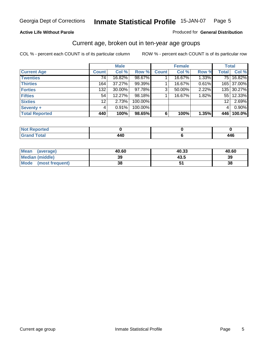#### **Active Life Without Parole**

#### Produced for **General Distribution**

### Current age, broken out in ten-year age groups

|                       |              | <b>Male</b> |         |              | <b>Female</b> |       |              | <b>Total</b> |
|-----------------------|--------------|-------------|---------|--------------|---------------|-------|--------------|--------------|
| <b>Current Age</b>    | <b>Count</b> | Col %       | Row %   | <b>Count</b> | Col %         | Row % | <b>Total</b> | Col %        |
| <b>Twenties</b>       | 74           | 16.82%      | 98.67%  |              | 16.67%        | 1.33% |              | 75 16.82%    |
| <b>Thirties</b>       | 164          | 37.27%      | 99.39%  |              | 16.67%        | 0.61% |              | 165 37.00%   |
| <b>Forties</b>        | 132          | $30.00\%$   | 97.78%  | 3            | 50.00%        | 2.22% |              | 135 30.27%   |
| <b>Fifties</b>        | 54           | 12.27%      | 98.18%  |              | 16.67%        | 1.82% |              | 55 12.33%    |
| <b>Sixties</b>        | 12           | 2.73%       | 100.00% |              |               |       | 12           | 2.69%        |
| <b>Seventy +</b>      | 4            | 0.91%       | 100.00% |              |               |       | 4            | 0.90%        |
| <b>Total Reported</b> | 440          | 100%        | 98.65%  | 6            | 100%          | 1.35% | 446          | 100.0%       |

| <b>Not Reported</b> |            |     |
|---------------------|------------|-----|
| <b>Grand Total</b>  | <b>440</b> | 446 |

| Mean (average)       | 40.60 | 40.33 | 40.60 |
|----------------------|-------|-------|-------|
| Median (middle)      | 39    | 43.5  | 39    |
| Mode (most frequent) | 38    |       | 38    |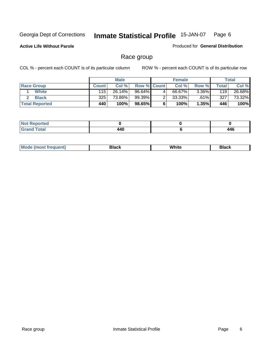**Active Life Without Parole** 

Produced for **General Distribution**

### Race group

|                       |              | <b>Male</b> |                    |   | <b>Female</b> |          |       | <b>Total</b> |
|-----------------------|--------------|-------------|--------------------|---|---------------|----------|-------|--------------|
| <b>Race Group</b>     | <b>Count</b> | Col %       | <b>Row % Count</b> |   | Col %         | Row %    | Total | Col %        |
| <b>White</b>          | 115          | 26.14%      | 96.64%             | 4 | 66.67%        | $3.36\%$ | 119   | 26.68%       |
| <b>Black</b>          | 325          | 73.86%      | 99.39%             |   | 33.33%        | $.61\%$  | 327   | 73.32%       |
| <b>Total Reported</b> | 440          | 100%        | 98.65%             |   | 100%          | 1.35%    | 446   | 100%         |

| eported<br>$\cdots$ |     |               |
|---------------------|-----|---------------|
| fota'<br>_____      | 440 | AAC<br>$\sim$ |

| $^1$ Mo. | Rlack | White | 3lack |
|----------|-------|-------|-------|
| .        |       |       |       |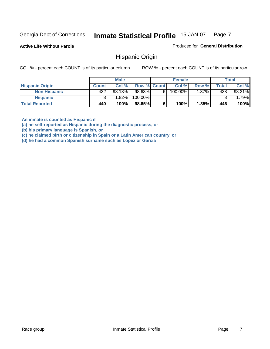**Active Life Without Parole** 

Produced for **General Distribution**

### Hispanic Origin

COL % - percent each COUNT is of its particular column ROW % - percent each COUNT is of its particular row

|                        |              | <b>Male</b> |                    |   | <b>Female</b> |          |              | <b>Total</b> |
|------------------------|--------------|-------------|--------------------|---|---------------|----------|--------------|--------------|
| <b>Hispanic Origin</b> | <b>Count</b> | Col %       | <b>Row % Count</b> |   | Col %         | Row %    | <b>Total</b> | Col %        |
| <b>Non Hispanic</b>    | 432          | 98.18%      | 98.63%             | 6 | 100.00%       | $1.37\%$ | 438          | 98.21%       |
| <b>Hispanic</b>        |              | ا %82.1     | 100.00%            |   |               |          |              | $.79\%$      |
| <b>Total Reported</b>  | 440          | 100%        | 98.65%             |   | 100%          | 1.35%    | 446          | 100%         |

**An inmate is counted as Hispanic if** 

**(a) he self-reported as Hispanic during the diagnostic process, or** 

**(b) his primary language is Spanish, or** 

**(c) he claimed birth or citizenship in Spain or a Latin American country, or** 

**(d) he had a common Spanish surname such as Lopez or Garcia**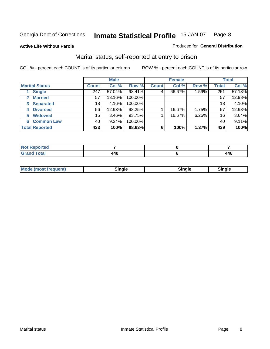**Active Life Without Parole** 

#### Produced for **General Distribution**

### Marital status, self-reported at entry to prison

|                        | <b>Male</b>  |        |         | <b>Female</b> |        |       | <b>Total</b> |        |
|------------------------|--------------|--------|---------|---------------|--------|-------|--------------|--------|
| <b>Marital Status</b>  | <b>Count</b> | Col %  | Row %   | <b>Count</b>  | Col %  | Row % | <b>Total</b> | Col %  |
| <b>Single</b>          | 247          | 57.04% | 98.41%  | 4             | 66.67% | 1.59% | 251          | 57.18% |
| <b>Married</b><br>2.   | 57           | 13.16% | 100.00% |               |        |       | 57           | 12.98% |
| <b>Separated</b><br>3  | 18           | 4.16%  | 100.00% |               |        |       | 18           | 4.10%  |
| <b>Divorced</b><br>4   | 56           | 12.93% | 98.25%  |               | 16.67% | 1.75% | 57           | 12.98% |
| <b>Widowed</b><br>5    | 15           | 3.46%  | 93.75%  |               | 16.67% | 6.25% | 16           | 3.64%  |
| <b>Common Law</b><br>6 | 40           | 9.24%  | 100.00% |               |        |       | 40           | 9.11%  |
| <b>Total Reported</b>  | 433          | 100%   | 98.63%  | 6             | 100%   | 1.37% | 439          | 100%   |

| тео                             |                          |                      |
|---------------------------------|--------------------------|----------------------|
| $\mathcal{L}$ and $\mathcal{L}$ | $\overline{a}$<br>$\sim$ | <i>AAC</i><br>$\sim$ |

| <b>Mode (most frequent)</b><br>Sinale<br>≒ınale |
|-------------------------------------------------|
|-------------------------------------------------|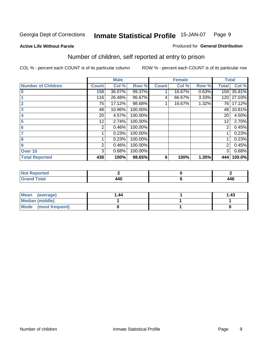#### **Active Life Without Parole**

#### Produced for **General Distribution**

### Number of children, self reported at entry to prison

|                           |              | <b>Male</b> |         |              | <b>Female</b> |       | <b>Total</b> |        |
|---------------------------|--------------|-------------|---------|--------------|---------------|-------|--------------|--------|
| <b>Number of Children</b> | <b>Count</b> | Col %       | Row %   | <b>Count</b> | Col %         | Row % | <b>Total</b> | Col %  |
| $\bf{0}$                  | 158          | 36.07%      | 99.37%  |              | 16.67%        | 0.63% | 159          | 35.81% |
|                           | 116          | 26.48%      | 96.67%  | 4            | 66.67%        | 3.33% | 120          | 27.03% |
| $\overline{2}$            | 75           | 17.12%      | 98.68%  |              | 16.67%        | 1.32% | 761          | 17.12% |
| 3                         | 48           | 10.96%      | 100.00% |              |               |       | 48           | 10.81% |
| 4                         | 20           | 4.57%       | 100.00% |              |               |       | 20           | 4.50%  |
| 5                         | 12.          | 2.74%       | 100.00% |              |               |       | 12           | 2.70%  |
| 6                         | 2            | 0.46%       | 100.00% |              |               |       | 2            | 0.45%  |
|                           |              | 0.23%       | 100.00% |              |               |       |              | 0.23%  |
| 8                         |              | 0.23%       | 100.00% |              |               |       |              | 0.23%  |
| 9                         | 2            | 0.46%       | 100.00% |              |               |       | 2            | 0.45%  |
| Over 10                   | 3            | 0.68%       | 100.00% |              |               |       | 3            | 0.68%  |
| <b>Total Reported</b>     | 438          | 100%        | 98.65%  | 6            | 100%          | 1.35% | 444          | 100.0% |

| للمستقصاء<br>теа<br>N<br>. |                |     |
|----------------------------|----------------|-----|
| $T = 4$<br>---<br>-        | $\overline{a}$ | 446 |

| <b>Mean</b><br>(average) | 44. ا | 1.43 |
|--------------------------|-------|------|
| <b>Median (middle)</b>   |       |      |
| Mode (most frequent)     |       |      |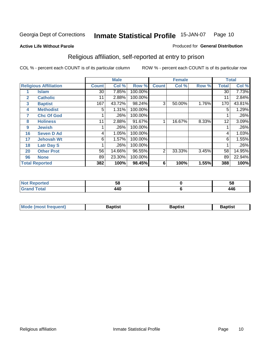#### **Active Life Without Parole**

#### Produced for **General Distribution**

### Religious affiliation, self-reported at entry to prison

|              |                              |                 | <b>Male</b> |         |              | <b>Female</b> |       |              | <b>Total</b> |
|--------------|------------------------------|-----------------|-------------|---------|--------------|---------------|-------|--------------|--------------|
|              | <b>Religious Affiliation</b> | <b>Count</b>    | Col %       | Row %   | <b>Count</b> | Col %         | Row % | <b>Total</b> | Col %        |
|              | <b>Islam</b>                 | 30 <sup>°</sup> | 7.85%       | 100.00% |              |               |       | 30           | 7.73%        |
| $\mathbf{2}$ | <b>Catholic</b>              | 11              | 2.88%       | 100.00% |              |               |       | 11           | 2.84%        |
| 3            | <b>Baptist</b>               | 167             | 43.72%      | 98.24%  | 3            | 50.00%        | 1.76% | 170          | 43.81%       |
| 4            | <b>Methodist</b>             | 5               | 1.31%       | 100.00% |              |               |       | 5            | 1.29%        |
| 7            | <b>Chc Of God</b>            |                 | .26%        | 100.00% |              |               |       |              | .26%         |
| 8            | <b>Holiness</b>              | 11              | 2.88%       | 91.67%  |              | 16.67%        | 8.33% | 12           | 3.09%        |
| 9            | <b>Jewish</b>                |                 | .26%        | 100.00% |              |               |       |              | .26%         |
| 16           | <b>Seven D Ad</b>            | 4               | 1.05%       | 100.00% |              |               |       | 4            | 1.03%        |
| 17           | <b>Jehovah Wt</b>            | 6               | 1.57%       | 100.00% |              |               |       | 6            | 1.55%        |
| 18           | <b>Latr Day S</b>            |                 | .26%        | 100.00% |              |               |       |              | .26%         |
| 20           | <b>Other Prot</b>            | 56              | 14.66%      | 96.55%  | 2            | 33.33%        | 3.45% | 58           | 14.95%       |
| 96           | <b>None</b>                  | 89              | 23.30%      | 100.00% |              |               |       | 89           | 22.94%       |
|              | <b>Total Reported</b>        | 382             | 100%        | 98.45%  | 6            | 100%          | 1.55% | 388          | 100%         |

| 'tea        | --<br>Ju       | ູບດ |
|-------------|----------------|-----|
| <b>otal</b> | $\mathbf{A}$ r | 446 |

| <b>Mode (most frequent)</b> | <b>Baptist</b> | <b>Baptist</b> | <b>Baptist</b> |
|-----------------------------|----------------|----------------|----------------|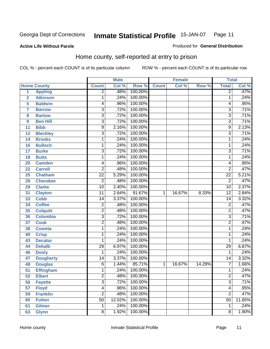#### **Active Life Without Parole**

#### Produced for **General Distribution**

### Home county, self-reported at entry to prison

|                 |                    |                 | <b>Male</b> |         |              | <b>Female</b> |        | <b>Total</b>    |        |
|-----------------|--------------------|-----------------|-------------|---------|--------------|---------------|--------|-----------------|--------|
|                 | <b>Home County</b> | <b>Count</b>    | Col %       | Row %   | <b>Count</b> | Col %         | Row %  | <b>Total</b>    | Col %  |
| $\overline{1}$  | <b>Appling</b>     | $\overline{2}$  | .48%        | 100.00% |              |               |        | $\overline{2}$  | .47%   |
| $\overline{2}$  | <b>Atkinson</b>    | 1               | .24%        | 100.00% |              |               |        | 1               | .24%   |
| 5               | <b>Baldwin</b>     | 4               | .96%        | 100.00% |              |               |        | 4               | .95%   |
| $\overline{7}$  | <b>Barrow</b>      | $\overline{3}$  | .72%        | 100.00% |              |               |        | $\overline{3}$  | .71%   |
| 8               | <b>Bartow</b>      | $\overline{3}$  | .72%        | 100.00% |              |               |        | $\overline{3}$  | .71%   |
| 9               | <b>Ben Hill</b>    | $\overline{3}$  | .72%        | 100.00% |              |               |        | $\overline{3}$  | .71%   |
| 11              | <b>Bibb</b>        | $\overline{9}$  | 2.16%       | 100.00% |              |               |        | $\overline{9}$  | 2.13%  |
| 12              | <b>Bleckley</b>    | 3               | .72%        | 100.00% |              |               |        | $\overline{3}$  | .71%   |
| 14              | <b>Brooks</b>      | 1               | .24%        | 100.00% |              |               |        | 1               | .24%   |
| 16              | <b>Bulloch</b>     | 1               | .24%        | 100.00% |              |               |        | 1               | .24%   |
| 17              | <b>Burke</b>       | $\overline{3}$  | .72%        | 100.00% |              |               |        | $\overline{3}$  | .71%   |
| 18              | <b>Butts</b>       | 1               | .24%        | 100.00% |              |               |        | 1               | .24%   |
| 20              | <b>Camden</b>      | 4               | .96%        | 100.00% |              |               |        | 4               | .95%   |
| 22              | <b>Carroll</b>     | $\overline{2}$  | .48%        | 100.00% |              |               |        | $\overline{2}$  | .47%   |
| 25              | <b>Chatham</b>     | $\overline{22}$ | 5.29%       | 100.00% |              |               |        | $\overline{22}$ | 5.21%  |
| 28              | <b>Cherokee</b>    | $\overline{2}$  | .48%        | 100.00% |              |               |        | $\overline{2}$  | .47%   |
| 29              | <b>Clarke</b>      | $\overline{10}$ | 2.40%       | 100.00% |              |               |        | $\overline{10}$ | 2.37%  |
| 31              | <b>Clayton</b>     | $\overline{11}$ | 2.64%       | 91.67%  | $\mathbf{1}$ | 16.67%        | 8.33%  | $\overline{12}$ | 2.84%  |
| 33              | <b>Cobb</b>        | 14              | 3.37%       | 100.00% |              |               |        | $\overline{14}$ | 3.32%  |
| 34              | <b>Coffee</b>      | $\overline{2}$  | .48%        | 100.00% |              |               |        | $\overline{2}$  | .47%   |
| 35              | <b>Colquitt</b>    | $\overline{2}$  | .48%        | 100.00% |              |               |        | $\overline{2}$  | .47%   |
| 36              | <b>Columbia</b>    | $\overline{3}$  | .72%        | 100.00% |              |               |        | $\overline{3}$  | .71%   |
| 37              | <b>Cook</b>        | $\overline{2}$  | .48%        | 100.00% |              |               |        | $\overline{2}$  | .47%   |
| 38              | <b>Coweta</b>      | 1               | .24%        | 100.00% |              |               |        | 1               | .24%   |
| 40              | <b>Crisp</b>       | 1               | .24%        | 100.00% |              |               |        | 1               | .24%   |
| 43              | <b>Decatur</b>     | 1               | .24%        | 100.00% |              |               |        | 1               | .24%   |
| 44              | <b>Dekalb</b>      | $\overline{29}$ | 6.97%       | 100.00% |              |               |        | $\overline{29}$ | 6.87%  |
| 46              | <b>Dooly</b>       | 1               | .24%        | 100.00% |              |               |        | 1               | .24%   |
| 47              | <b>Dougherty</b>   | 14              | 3.37%       | 100.00% |              |               |        | $\overline{14}$ | 3.32%  |
| 48              | <b>Douglas</b>     | $\overline{6}$  | 1.44%       | 85.71%  | $\mathbf{1}$ | 16.67%        | 14.29% | 7               | 1.66%  |
| $\overline{51}$ | <b>Effingham</b>   | 1               | .24%        | 100.00% |              |               |        | 1               | .24%   |
| 52              | <b>Elbert</b>      | $\overline{c}$  | .48%        | 100.00% |              |               |        | $\overline{c}$  | .47%   |
| 56              | <b>Fayette</b>     | $\overline{3}$  | .72%        | 100.00% |              |               |        | $\overline{3}$  | .71%   |
| 57              | <b>Floyd</b>       | $\overline{4}$  | .96%        | 100.00% |              |               |        | 4               | .95%   |
| 59              | <b>Franklin</b>    | $\overline{2}$  | .48%        | 100.00% |              |               |        | $\overline{2}$  | .47%   |
| 60              | <b>Fulton</b>      | $\overline{50}$ | 12.02%      | 100.00% |              |               |        | $\overline{50}$ | 11.85% |
| 61              | <b>Gilmer</b>      | 1               | .24%        | 100.00% |              |               |        | 1               | .24%   |
| 63              | <b>Glynn</b>       | $\overline{8}$  | 1.92%       | 100.00% |              |               |        | 8               | 1.90%  |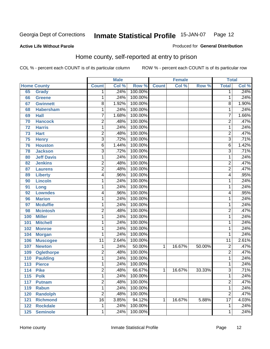Produced for **General Distribution**

#### **Active Life Without Parole**

### Home county, self-reported at entry to prison

|     |                    |                 | <b>Male</b> |         |              | <b>Female</b> |        | <b>Total</b>    |       |
|-----|--------------------|-----------------|-------------|---------|--------------|---------------|--------|-----------------|-------|
|     | <b>Home County</b> | <b>Count</b>    | Col %       | Row %   | <b>Count</b> | Col %         | Row %  | <b>Total</b>    | Col % |
| 65  | Grady              | 1               | .24%        | 100.00% |              |               |        | 1               | .24%  |
| 66  | Greene             | 1               | .24%        | 100.00% |              |               |        | 1               | .24%  |
| 67  | <b>Gwinnett</b>    | 8               | 1.92%       | 100.00% |              |               |        | 8               | 1.90% |
| 68  | <b>Habersham</b>   | 1               | .24%        | 100.00% |              |               |        | 1               | .24%  |
| 69  | <b>Hall</b>        | $\overline{7}$  | 1.68%       | 100.00% |              |               |        | $\overline{7}$  | 1.66% |
| 70  | <b>Hancock</b>     | 2               | .48%        | 100.00% |              |               |        | $\overline{2}$  | .47%  |
| 72  | <b>Harris</b>      | 1               | .24%        | 100.00% |              |               |        | 1               | .24%  |
| 73  | <b>Hart</b>        | 2               | .48%        | 100.00% |              |               |        | $\overline{2}$  | .47%  |
| 75  | <b>Henry</b>       | $\overline{3}$  | .72%        | 100.00% |              |               |        | $\overline{3}$  | .71%  |
| 76  | <b>Houston</b>     | 6               | 1.44%       | 100.00% |              |               |        | 6               | 1.42% |
| 78  | <b>Jackson</b>     | $\overline{3}$  | .72%        | 100.00% |              |               |        | $\overline{3}$  | .71%  |
| 80  | <b>Jeff Davis</b>  | 1               | .24%        | 100.00% |              |               |        | 1               | .24%  |
| 82  | <b>Jenkins</b>     | $\overline{2}$  | .48%        | 100.00% |              |               |        | $\overline{2}$  | .47%  |
| 87  | <b>Laurens</b>     | $\overline{2}$  | .48%        | 100.00% |              |               |        | $\overline{2}$  | .47%  |
| 89  | <b>Liberty</b>     | 4               | .96%        | 100.00% |              |               |        | 4               | .95%  |
| 90  | <b>Lincoln</b>     | 1               | .24%        | 100.00% |              |               |        | 1               | .24%  |
| 91  | Long               | 1               | .24%        | 100.00% |              |               |        | 1               | .24%  |
| 92  | <b>Lowndes</b>     | 4               | .96%        | 100.00% |              |               |        | 4               | .95%  |
| 96  | <b>Marion</b>      | 1               | .24%        | 100.00% |              |               |        | 1               | .24%  |
| 97  | <b>Mcduffie</b>    | 1               | .24%        | 100.00% |              |               |        | 1               | .24%  |
| 98  | <b>Mcintosh</b>    | $\overline{2}$  | .48%        | 100.00% |              |               |        | $\overline{2}$  | .47%  |
| 100 | <b>Miller</b>      | 1               | .24%        | 100.00% |              |               |        | 1               | .24%  |
| 101 | <b>Mitchell</b>    | 1               | .24%        | 100.00% |              |               |        | 1               | .24%  |
| 102 | <b>Monroe</b>      | 1               | .24%        | 100.00% |              |               |        | 1               | .24%  |
| 104 | <b>Morgan</b>      | 1               | .24%        | 100.00% |              |               |        | 1               | .24%  |
| 106 | <b>Muscogee</b>    | $\overline{11}$ | 2.64%       | 100.00% |              |               |        | $\overline{11}$ | 2.61% |
| 107 | <b>Newton</b>      | 1               | .24%        | 50.00%  | 1            | 16.67%        | 50.00% | $\overline{2}$  | .47%  |
| 109 | <b>Oglethorpe</b>  | 2               | .48%        | 100.00% |              |               |        | $\overline{2}$  | .47%  |
| 110 | <b>Paulding</b>    | $\mathbf{1}$    | .24%        | 100.00% |              |               |        | 1               | .24%  |
| 113 | <b>Pierce</b>      | 1               | .24%        | 100.00% |              |               |        | 1               | .24%  |
| 114 | <b>Pike</b>        | $\overline{2}$  | .48%        | 66.67%  | 1            | 16.67%        | 33.33% | $\overline{3}$  | .71%  |
| 115 | <b>Polk</b>        | 1               | .24%        | 100.00% |              |               |        | 1               | .24%  |
| 117 | <b>Putnam</b>      | $\overline{2}$  | .48%        | 100.00% |              |               |        | $\overline{2}$  | .47%  |
| 119 | <b>Rabun</b>       | 1               | .24%        | 100.00% |              |               |        | 1               | .24%  |
| 120 | <b>Randolph</b>    | $\overline{2}$  | .48%        | 100.00% |              |               |        | $\overline{2}$  | .47%  |
| 121 | <b>Richmond</b>    | $\overline{16}$ | 3.85%       | 94.12%  | 1            | 16.67%        | 5.88%  | $\overline{17}$ | 4.03% |
| 122 | <b>Rockdale</b>    | 1               | .24%        | 100.00% |              |               |        | 1               | .24%  |
| 125 | <b>Seminole</b>    | 1               | .24%        | 100.00% |              |               |        | 1               | .24%  |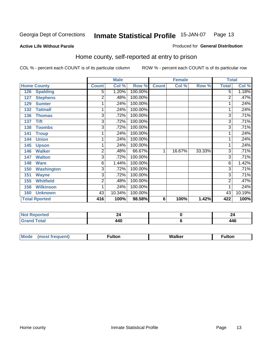#### **Active Life Without Parole**

#### Produced for **General Distribution**

### Home county, self-reported at entry to prison

|                          |                         | <b>Male</b> |         |                 | <b>Female</b> |        | <b>Total</b> |        |
|--------------------------|-------------------------|-------------|---------|-----------------|---------------|--------|--------------|--------|
| <b>Home County</b>       | <b>Count</b>            | Col %       | Row %   | <b>Count</b>    | Col %         | Row %  | <b>Total</b> | Col %  |
| <b>Spalding</b><br>126   | 5                       | 1.20%       | 100.00% |                 |               |        | 5            | 1.18%  |
| <b>Stephens</b><br>127   | 2                       | .48%        | 100.00% |                 |               |        | 2            | .47%   |
| <b>Sumter</b><br>129     | 1                       | .24%        | 100.00% |                 |               |        |              | .24%   |
| 132<br><b>Tattnall</b>   | 1                       | .24%        | 100.00% |                 |               |        |              | .24%   |
| 136<br><b>Thomas</b>     | 3                       | .72%        | 100.00% |                 |               |        | 3            | .71%   |
| <b>Tift</b><br>137       | 3                       | .72%        | 100.00% |                 |               |        | 3            | .71%   |
| <b>Toombs</b><br>138     | 3                       | .72%        | 100.00% |                 |               |        | 3            | .71%   |
| <b>Troup</b><br>141      |                         | .24%        | 100.00% |                 |               |        |              | .24%   |
| <b>Union</b><br>144      | 1                       | .24%        | 100.00% |                 |               |        |              | .24%   |
| 145<br><b>Upson</b>      | 1                       | .24%        | 100.00% |                 |               |        |              | .24%   |
| <b>Walker</b><br>146     | $\overline{2}$          | .48%        | 66.67%  | 1               | 16.67%        | 33.33% | 3            | .71%   |
| 147<br><b>Walton</b>     | 3                       | .72%        | 100.00% |                 |               |        | 3            | .71%   |
| <b>Ware</b><br>148       | 6                       | 1.44%       | 100.00% |                 |               |        | 6            | 1.42%  |
| <b>Washington</b><br>150 | $\overline{3}$          | .72%        | 100.00% |                 |               |        | 3            | .71%   |
| <b>Wayne</b><br>151      | 3                       | .72%        | 100.00% |                 |               |        | 3            | .71%   |
| <b>Whitfield</b><br>155  | $\overline{\mathbf{c}}$ | .48%        | 100.00% |                 |               |        | 2            | .47%   |
| <b>Wilkinson</b><br>158  | 1                       | .24%        | 100.00% |                 |               |        |              | .24%   |
| <b>Unknown</b><br>160    | 43                      | 10.34%      | 100.00% |                 |               |        | 43           | 10.19% |
| <b>Total Rported</b>     | 416                     | 100%        | 98.58%  | $6\phantom{1}6$ | 100%          | 1.42%  | 422          | 100%   |

| <b>NO</b><br>rtea                             |              | --              |
|-----------------------------------------------|--------------|-----------------|
| otal<br>$\mathbf{r}$<br>$\sim$<br>$-1$ . $-1$ | . A C<br>TTV | . A C<br>$\sim$ |

| <b>Mo</b><br>$\cdots$ | --- | w | ullui |
|-----------------------|-----|---|-------|
|                       |     |   |       |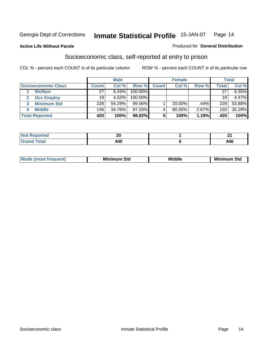#### **Active Life Without Parole**

#### Produced for **General Distribution**

### Socioeconomic class, self-reported at entry to prison

|                            | <b>Male</b>  |        |            | <b>Female</b> |           |       | <b>Total</b> |        |
|----------------------------|--------------|--------|------------|---------------|-----------|-------|--------------|--------|
| <b>Socioeconomic Class</b> | <b>Count</b> | Col %  | Row %      | <b>Count</b>  | Col %     | Row % | <b>Total</b> | Col %  |
| <b>Welfare</b>             | 27           | 6.43%  | 100.00%    |               |           |       | 27           | 6.35%  |
| <b>Occ Employ</b>          | 19           | 4.52%  | $100.00\%$ |               |           |       | 19           | 4.47%  |
| <b>Minimum Std</b>         | 228          | 54.29% | $99.56\%$  |               | $20.00\%$ | .44%  | 229          | 53.88% |
| <b>Middle</b>              | 146          | 34.76% | $97.33\%$  |               | 80.00%    | 2.67% | 150          | 35.29% |
| <b>Total Reported</b>      | 420          | 100%   | 98.82%     |               | 100%      | 1.18% | 425          | 100%   |

| тео            | nr.<br>___              |      |
|----------------|-------------------------|------|
| υιαι<br>______ | $\overline{A}$<br>. . U | r-ru |

| M<br>Mir<br>Mi<br><b>Middle</b><br><b>C</b> ta<br>Sta<br>əτu<br>.<br>the contract of the contract of the contract of the contract of the contract of the contract of the contract of<br>___ |
|---------------------------------------------------------------------------------------------------------------------------------------------------------------------------------------------|
|---------------------------------------------------------------------------------------------------------------------------------------------------------------------------------------------|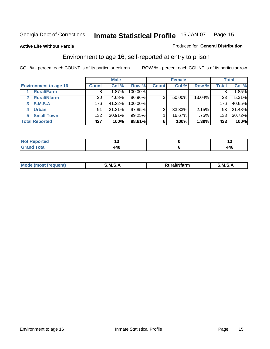#### **Active Life Without Parole**

#### Produced for **General Distribution**

### Environment to age 16, self-reported at entry to prison

|                              |                  | <b>Male</b> |            |              | <b>Female</b> |        |              | <b>Total</b> |
|------------------------------|------------------|-------------|------------|--------------|---------------|--------|--------------|--------------|
| <b>Environment to age 16</b> | <b>Count</b>     | Col %       | Row %      | <b>Count</b> | Col %         | Row %  | <b>Total</b> | Col %        |
| <b>Rural/Farm</b>            | 8                | 1.87%       | 100.00%    |              |               |        |              | 1.85%        |
| <b>Rural/Nfarm</b><br>2      | 20               | 4.68%       | 86.96%     | 3            | 50.00%        | 13.04% | 23           | 5.31%        |
| S.M.S.A<br>3                 | 176              | 41.22%      | $100.00\%$ |              |               |        | 176          | 40.65%       |
| <b>Urban</b>                 | 91               | 21.31%      | $97.85\%$  |              | 33.33%        | 2.15%  | 93           | 21.48%       |
| <b>Small Town</b>            | 132 <sub>1</sub> | 30.91%      | $99.25\%$  |              | 16.67%        | .75%   | 133          | 30.72%       |
| <b>Total Reported</b>        | 427              | 100%        | 98.61%     | 6            | 100%          | 1.39%  | 433          | 100%         |

| Reported<br><b>Not</b><br>$\sim$ |             | . . |
|----------------------------------|-------------|-----|
| <b>Grand Total</b>               | AAC<br>. TV | 446 |

| Mc | .M<br>. . | <br>- - -- - | M |
|----|-----------|--------------|---|
|    |           |              |   |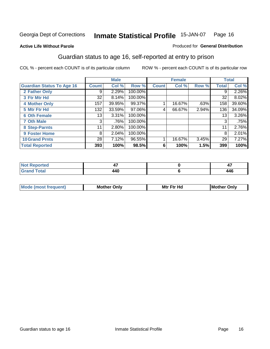Produced for **General Distribution**

#### **Active Life Without Parole**

### Guardian status to age 16, self-reported at entry to prison

|                                  |              | <b>Male</b> |         |              | <b>Female</b> |       |       | <b>Total</b> |
|----------------------------------|--------------|-------------|---------|--------------|---------------|-------|-------|--------------|
| <b>Guardian Status To Age 16</b> | <b>Count</b> | Col %       | Row %   | <b>Count</b> | Col %         | Row % | Total | Col %        |
| 2 Father Only                    | 9            | 2.29%       | 100.00% |              |               |       | 9     | 2.26%        |
| 3 Ftr Mtr Hd                     | 32           | 8.14%       | 100.00% |              |               |       | 32    | 8.02%        |
| <b>4 Mother Only</b>             | 157          | 39.95%      | 99.37%  |              | 16.67%        | .63%  | 158   | 39.60%       |
| 5 Mtr Ftr Hd                     | 132          | 33.59%      | 97.06%  | 4            | 66.67%        | 2.94% | 136   | 34.09%       |
| <b>6 Oth Female</b>              | 13           | 3.31%       | 100.00% |              |               |       | 13    | $3.26\%$     |
| <b>7 Oth Male</b>                | 3            | .76%        | 100.00% |              |               |       | 3     | .75%         |
| 8 Step-Parnts                    | 11           | 2.80%       | 100.00% |              |               |       | 11    | 2.76%        |
| 9 Foster Home                    | 8            | 2.04%       | 100.00% |              |               |       | 8     | 2.01%        |
| <b>10 Grand Prnts</b>            | 28           | 7.12%       | 96.55%  |              | 16.67%        | 3.45% | 29    | 7.27%        |
| <b>Total Reported</b>            | 393          | 100%        | 98.5%   | 6            | 100%          | 1.5%  | 399   | 100%         |

| المنقاطة | $\overline{ }$ | A A C |
|----------|----------------|-------|

| <b>Mo</b> | )nlv | Mt · | ١M   |
|-----------|------|------|------|
|           | - MC | –∼   | วทI\ |
|           |      |      | nn   |
|           |      |      |      |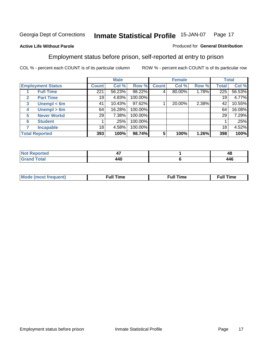#### **Active Life Without Parole**

#### Produced for **General Distribution**

### Employment status before prison, self-reported at entry to prison

|                          |                       | <b>Male</b>  |        | <b>Female</b> |              |        | <b>Total</b> |       |        |
|--------------------------|-----------------------|--------------|--------|---------------|--------------|--------|--------------|-------|--------|
| <b>Employment Status</b> |                       | <b>Count</b> | Col %  | Row %         | <b>Count</b> | Col %  | Row %        | Total | Col %  |
|                          | <b>Full Time</b>      | 221          | 56.23% | 98.22%        | 4            | 80.00% | 1.78%        | 225   | 56.53% |
| $\mathbf{2}$             | <b>Part Time</b>      | 19           | 4.83%  | 100.00%       |              |        |              | 19    | 4.77%  |
| 3                        | Unempl $<$ 6m         | 41           | 10.43% | 97.62%        |              | 20.00% | 2.38%        | 42    | 10.55% |
| 4                        | Unempl > 6m           | 64           | 16.28% | 100.00%       |              |        |              | 64    | 16.08% |
| 5                        | <b>Never Workd</b>    | 29           | 7.38%  | 100.00%       |              |        |              | 29    | 7.29%  |
| 6                        | <b>Student</b>        |              | .25%   | 100.00%       |              |        |              |       | .25%   |
|                          | <b>Incapable</b>      | 18           | 4.58%  | 100.00%       |              |        |              | 18    | 4.52%  |
|                          | <b>Total Reported</b> | 393          | 100%   | 98.74%        | 5            | 100%   | 1.26%        | 398   | 100%   |

| uer.      | т,  | $\mathbf{r}$<br>TU. |
|-----------|-----|---------------------|
| $- - - -$ | 440 | 446                 |

| Mo | 'me<br>uн<br>the contract of the contract of the contract of the contract of the contract of the contract of the contract of the contract of the contract of the contract of the contract of the contract of the contract of the contract o | ïme<br>uı.<br>the contract of the contract of the contract of the contract of the contract of the contract of the contract of the contract of the contract of the contract of the contract of the contract of the contract of the contract o |
|----|---------------------------------------------------------------------------------------------------------------------------------------------------------------------------------------------------------------------------------------------|----------------------------------------------------------------------------------------------------------------------------------------------------------------------------------------------------------------------------------------------|
|    |                                                                                                                                                                                                                                             |                                                                                                                                                                                                                                              |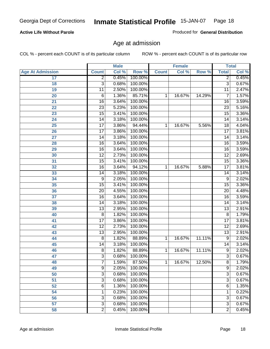#### **Active Life Without Parole**

Produced for **General Distribution**

### Age at admission

|                         |                 | <b>Male</b> |         | <b>Female</b> |        | <b>Total</b> |                 |       |
|-------------------------|-----------------|-------------|---------|---------------|--------|--------------|-----------------|-------|
| <b>Age At Admission</b> | <b>Count</b>    | Col %       | Row %   | <b>Count</b>  | Col %  | Row %        | <b>Total</b>    | Col % |
| 17                      | $\overline{2}$  | 0.45%       | 100.00% |               |        |              | $\overline{2}$  | 0.45% |
| 18                      | 3               | 0.68%       | 100.00% |               |        |              | $\overline{3}$  | 0.67% |
| 19                      | $\overline{11}$ | 2.50%       | 100.00% |               |        |              | $\overline{11}$ | 2.47% |
| 20                      | 6               | 1.36%       | 85.71%  | 1             | 16.67% | 14.29%       | 7               | 1.57% |
| 21                      | $\overline{16}$ | 3.64%       | 100.00% |               |        |              | 16              | 3.59% |
| 22                      | $\overline{23}$ | 5.23%       | 100.00% |               |        |              | 23              | 5.16% |
| 23                      | $\overline{15}$ | 3.41%       | 100.00% |               |        |              | $\overline{15}$ | 3.36% |
| 24                      | 14              | 3.18%       | 100.00% |               |        |              | 14              | 3.14% |
| $\overline{25}$         | $\overline{17}$ | 3.86%       | 94.44%  | 1             | 16.67% | 5.56%        | 18              | 4.04% |
| 26                      | $\overline{17}$ | 3.86%       | 100.00% |               |        |              | 17              | 3.81% |
| 27                      | $\overline{14}$ | 3.18%       | 100.00% |               |        |              | $\overline{14}$ | 3.14% |
| 28                      | 16              | 3.64%       | 100.00% |               |        |              | 16              | 3.59% |
| 29                      | $\overline{16}$ | 3.64%       | 100.00% |               |        |              | 16              | 3.59% |
| 30                      | $\overline{12}$ | 2.73%       | 100.00% |               |        |              | $\overline{12}$ | 2.69% |
| 31                      | $\overline{15}$ | 3.41%       | 100.00% |               |        |              | $\overline{15}$ | 3.36% |
| 32                      | 16              | 3.64%       | 94.12%  | 1             | 16.67% | 5.88%        | 17              | 3.81% |
| 33                      | 14              | 3.18%       | 100.00% |               |        |              | 14              | 3.14% |
| 34                      | 9               | 2.05%       | 100.00% |               |        |              | 9               | 2.02% |
| 35                      | $\overline{15}$ | 3.41%       | 100.00% |               |        |              | $\overline{15}$ | 3.36% |
| 36                      | 20              | 4.55%       | 100.00% |               |        |              | $\overline{20}$ | 4.48% |
| 37                      | $\overline{16}$ | 3.64%       | 100.00% |               |        |              | 16              | 3.59% |
| 38                      | $\overline{14}$ | 3.18%       | 100.00% |               |        |              | 14              | 3.14% |
| 39                      | $\overline{13}$ | 2.95%       | 100.00% |               |        |              | $\overline{13}$ | 2.91% |
| 40                      | 8               | 1.82%       | 100.00% |               |        |              | 8               | 1.79% |
| 41                      | $\overline{17}$ | 3.86%       | 100.00% |               |        |              | $\overline{17}$ | 3.81% |
| 42                      | $\overline{12}$ | 2.73%       | 100.00% |               |        |              | 12              | 2.69% |
| 43                      | $\overline{13}$ | 2.95%       | 100.00% |               |        |              | $\overline{13}$ | 2.91% |
| 44                      | 8               | 1.82%       | 88.89%  | 1             | 16.67% | 11.11%       | 9               | 2.02% |
| 45                      | 14              | 3.18%       | 100.00% |               |        |              | 14              | 3.14% |
| 46                      | $\overline{8}$  | 1.82%       | 88.89%  | 1             | 16.67% | 11.11%       | $\overline{9}$  | 2.02% |
| 47                      | $\overline{3}$  | 0.68%       | 100.00% |               |        |              | $\overline{3}$  | 0.67% |
| 48                      | 7               | 1.59%       | 87.50%  | 1             | 16.67% | 12.50%       | 8               | 1.79% |
| 49                      | $\overline{9}$  | 2.05%       | 100.00% |               |        |              | $\overline{9}$  | 2.02% |
| 50                      | 3               | 0.68%       | 100.00% |               |        |              | $\overline{3}$  | 0.67% |
| 51                      | $\overline{3}$  | 0.68%       | 100.00% |               |        |              | $\overline{3}$  | 0.67% |
| 52                      | 6               | 1.36%       | 100.00% |               |        |              | 6               | 1.35% |
| 54                      | 1               | 0.23%       | 100.00% |               |        |              | 1               | 0.22% |
| 56                      | 3               | 0.68%       | 100.00% |               |        |              | $\overline{3}$  | 0.67% |
| 57                      | $\overline{3}$  | 0.68%       | 100.00% |               |        |              | $\overline{3}$  | 0.67% |
| 58                      | $\overline{2}$  | 0.45%       | 100.00% |               |        |              | $\overline{2}$  | 0.45% |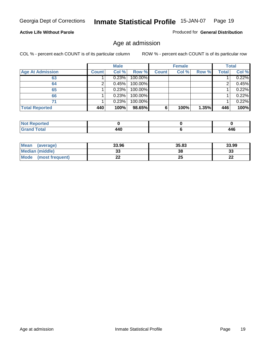#### **Active Life Without Parole**

Produced for **General Distribution**

### Age at admission

|                         |              | <b>Male</b> |         |              | <b>Female</b> |       |              | <b>Total</b> |
|-------------------------|--------------|-------------|---------|--------------|---------------|-------|--------------|--------------|
| <b>Age At Admission</b> | <b>Count</b> | Col %       | Row %   | <b>Count</b> | Col %         | Row % | <b>Total</b> | Col %        |
| 63                      |              | 0.23%       | 100.00% |              |               |       |              | 0.22%        |
| 64                      |              | 0.45%       | 100.00% |              |               |       |              | 0.45%        |
| 65                      |              | 0.23%       | 100.00% |              |               |       |              | 0.22%        |
| 66                      |              | 0.23%       | 100.00% |              |               |       |              | 0.22%        |
| 71                      |              | 0.23%       | 100.00% |              |               |       |              | 0.22%        |
| <b>Total Reported</b>   | 440          | 100%        | 98.65%  | 6            | 100%          | 1.35% | 446          | 100%         |

| <b>eported</b><br>N<br>$\sim$ |     |     |
|-------------------------------|-----|-----|
| <i>i</i> otal<br>______       | 440 | 446 |

| Mean<br>(average)              | 33.96 | 35.83 | 33.99   |
|--------------------------------|-------|-------|---------|
| <b>Median (middle)</b>         | JJ    | 38    | 33      |
| <b>Mode</b><br>(most frequent) |       | 25    | …<br>LL |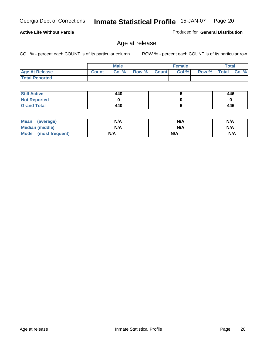COL % - percent each COUNT is of its particular column ROW % - percent each COUNT is of its particular row

|                       |              | <b>Male</b> |       |              | <b>Female</b> |       |              | Total   |
|-----------------------|--------------|-------------|-------|--------------|---------------|-------|--------------|---------|
| <b>Age At Release</b> | <b>Count</b> | Col %       | Row % | <b>Count</b> | Col %         | Row % | <b>Total</b> | Col $%$ |
| <b>Total Reported</b> |              |             |       |              |               |       |              |         |

Age at release

| <b>Still Active</b> | 440 | 446 |
|---------------------|-----|-----|
| <b>Not Reported</b> |     |     |
| <b>Grand Total</b>  | 440 | 446 |

| Mean (average)         | N/A | N/A | N/A |
|------------------------|-----|-----|-----|
| <b>Median (middle)</b> | N/A | N/A | N/A |
| Mode (most frequent)   | N/A | N/A | N/A |

#### **Active Life Without Parole**

Produced for **General Distribution**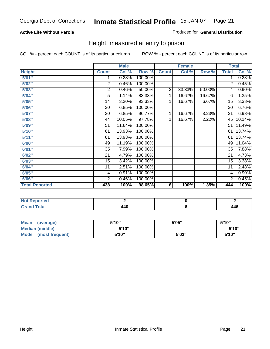#### **Active Life Without Parole**

#### Produced for **General Distribution**

### Height, measured at entry to prison

|                       |                | <b>Male</b> |         |                | <b>Female</b> |        |                 | <b>Total</b> |
|-----------------------|----------------|-------------|---------|----------------|---------------|--------|-----------------|--------------|
| <b>Height</b>         | <b>Count</b>   | Col %       | Row %   | <b>Count</b>   | Col %         | Row %  | <b>Total</b>    | Col %        |
| 5'01''                | 1              | 0.23%       | 100.00% |                |               |        | 1               | 0.23%        |
| 5'02"                 | $\overline{2}$ | 0.46%       | 100.00% |                |               |        | 2               | 0.45%        |
| 5'03"                 | 2              | 0.46%       | 50.00%  | $\overline{2}$ | 33.33%        | 50.00% | 4               | 0.90%        |
| 5'04"                 | 5              | 1.14%       | 83.33%  | 1              | 16.67%        | 16.67% | 6               | 1.35%        |
| 5'05"                 | 14             | 3.20%       | 93.33%  | 1              | 16.67%        | 6.67%  | 15              | 3.38%        |
| 5'06"                 | 30             | 6.85%       | 100.00% |                |               |        | $\overline{30}$ | 6.76%        |
| 5'07''                | 30             | 6.85%       | 96.77%  | 1              | 16.67%        | 3.23%  | 31              | 6.98%        |
| 5'08"                 | 44             | 10.05%      | 97.78%  | $\mathbf{1}$   | 16.67%        | 2.22%  | 45              | 10.14%       |
| 5'09"                 | 51             | 11.64%      | 100.00% |                |               |        | 51              | 11.49%       |
| 5'10''                | 61             | 13.93%      | 100.00% |                |               |        | 61              | 13.74%       |
| 5'11''                | 61             | 13.93%      | 100.00% |                |               |        | 61              | 13.74%       |
| 6'00"                 | 49             | 11.19%      | 100.00% |                |               |        | 49              | 11.04%       |
| 6'01''                | 35             | 7.99%       | 100.00% |                |               |        | 35              | 7.88%        |
| 6'02"                 | 21             | 4.79%       | 100.00% |                |               |        | 21              | 4.73%        |
| 6'03"                 | 15             | 3.42%       | 100.00% |                |               |        | 15              | 3.38%        |
| 6'04"                 | 11             | 2.51%       | 100.00% |                |               |        | 11              | 2.48%        |
| 6'05"                 | 4              | 0.91%       | 100.00% |                |               |        | 4               | 0.90%        |
| 6'06"                 | $\overline{2}$ | 0.46%       | 100.00% |                |               |        | 2               | 0.45%        |
| <b>Total Reported</b> | 438            | 100%        | 98.65%  | 6              | 100%          | 1.35%  | 444             | 100%         |

| portea<br>. <b>.</b> . |             |     |
|------------------------|-------------|-----|
| $\sim$                 | 11N<br>44 V | 446 |

| Mean<br>(average)              | 5'10" | 5'05" | 5'10"  |
|--------------------------------|-------|-------|--------|
| Median (middle)                | 5'10" |       | 5'10"  |
| <b>Mode</b><br>(most frequent) | 5'10" | 5'03" | 5'10'' |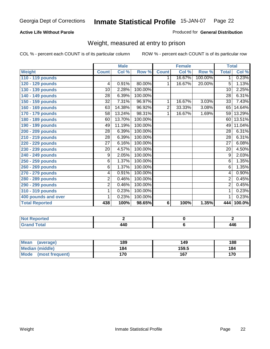#### **Active Life Without Parole**

#### Produced for **General Distribution**

### Weight, measured at entry to prison

|                       |                 | <b>Male</b> |         |              | <b>Female</b> |         |                 | <b>Total</b> |
|-----------------------|-----------------|-------------|---------|--------------|---------------|---------|-----------------|--------------|
| Weight                | <b>Count</b>    | Col %       | Row %   | <b>Count</b> | Col %         | Row %   | <b>Total</b>    | Col %        |
| 110 - 119 pounds      |                 |             |         | 1            | 16.67%        | 100.00% | 1 <sup>1</sup>  | 0.23%        |
| 120 - 129 pounds      | $\overline{4}$  | 0.91%       | 80.00%  | 1            | 16.67%        | 20.00%  | 5               | 1.13%        |
| 130 - 139 pounds      | 10              | 2.28%       | 100.00% |              |               |         | $\overline{10}$ | 2.25%        |
| 140 - 149 pounds      | 28              | 6.39%       | 100.00% |              |               |         | 28              | 6.31%        |
| 150 - 159 pounds      | 32              | 7.31%       | 96.97%  | 1            | 16.67%        | 3.03%   | 33              | 7.43%        |
| 160 - 169 pounds      | 63              | 14.38%      | 96.92%  | 2            | 33.33%        | 3.08%   | 65              | 14.64%       |
| 170 - 179 pounds      | 58              | 13.24%      | 98.31%  | 1            | 16.67%        | 1.69%   | 59              | 13.29%       |
| 180 - 189 pounds      | 60              | 13.70%      | 100.00% |              |               |         | 60              | 13.51%       |
| 190 - 199 pounds      | 49              | 11.19%      | 100.00% |              |               |         | 49              | 11.04%       |
| 200 - 209 pounds      | 28              | 6.39%       | 100.00% |              |               |         | 28              | 6.31%        |
| 210 - 219 pounds      | 28              | 6.39%       | 100.00% |              |               |         | 28              | 6.31%        |
| 220 - 229 pounds      | 27              | 6.16%       | 100.00% |              |               |         | 27              | 6.08%        |
| 230 - 239 pounds      | $\overline{20}$ | 4.57%       | 100.00% |              |               |         | 20              | 4.50%        |
| 240 - 249 pounds      | 9               | 2.05%       | 100.00% |              |               |         | 9               | 2.03%        |
| 250 - 259 pounds      | 6               | 1.37%       | 100.00% |              |               |         | 6               | 1.35%        |
| 260 - 269 pounds      | 6               | 1.37%       | 100.00% |              |               |         | 6               | 1.35%        |
| 270 - 279 pounds      | 4               | 0.91%       | 100.00% |              |               |         | 4               | 0.90%        |
| 280 - 289 pounds      | $\overline{2}$  | 0.46%       | 100.00% |              |               |         | $\overline{2}$  | 0.45%        |
| 290 - 299 pounds      | 2               | 0.46%       | 100.00% |              |               |         | $\overline{2}$  | 0.45%        |
| 310 - 319 pounds      | 1               | 0.23%       | 100.00% |              |               |         | 1               | 0.23%        |
| 400 pounds and over   | 1               | 0.23%       | 100.00% |              |               |         | 1               | 0.23%        |
| <b>Total Reported</b> | 438             | 100%        | 98.65%  | 6            | 100%          | 1.35%   | 444             | $100.0\%$    |

| <b>NO</b><br><b>TTEO</b> |               |       |
|--------------------------|---------------|-------|
| <b>Total</b>             | LAC<br>$\sim$ | 1 A C |

| Mean<br>(average)       | 189 | 149   | 188 |
|-------------------------|-----|-------|-----|
| Median (middle)         | 184 | 159.5 | 184 |
| Mode<br>(most frequent) | 170 | 167   | 170 |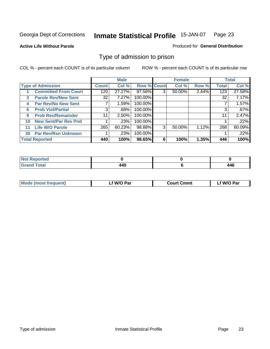#### **Active Life Without Parole**

#### Produced for **General Distribution**

### Type of admission to prison

|    |                             |              | <b>Male</b> |                    |   | <b>Female</b> |       |              | <b>Total</b> |
|----|-----------------------------|--------------|-------------|--------------------|---|---------------|-------|--------------|--------------|
|    | <b>Type of Admission</b>    | <b>Count</b> | Col %       | <b>Row % Count</b> |   | Col %         | Row % | <b>Total</b> | Col %        |
|    | <b>Committed From Court</b> | 120          | 27.27%      | 97.56%             |   | 50.00%        | 2.44% | 123          | 27.58%       |
| 3  | <b>Parole Rev/New Sent</b>  | 32           | 7.27%       | 100.00%            |   |               |       | 32           | 7.17%        |
| 4  | <b>Par Rev/No New Sent</b>  |              | 1.59%       | 100.00%            |   |               |       |              | 1.57%        |
| 6  | <b>Prob Viol/Partial</b>    | 3            | .68%        | 100.00%            |   |               |       |              | .67%         |
| 9  | <b>Prob Rev/Remainder</b>   | 11           | 2.50%       | 100.00%            |   |               |       | 11           | 2.47%        |
| 10 | <b>New Sent/Par Rev Pnd</b> |              | .23%        | 100.00%            |   |               |       |              | .22%         |
| 11 | <b>Life W/O Parole</b>      | 265          | 60.23%      | 98.88%             | 3 | 50.00%        | 1.12% | 268          | 60.09%       |
| 30 | <b>Par Rev/Rsn Unknown</b>  |              | .23%        | 100.00%            |   |               |       |              | .22%         |
|    | <b>Total Reported</b>       | 440          | 100%        | 98.65%             | 6 | 100%          | 1.35% | 446          | 100%         |

| eported<br>NOT                                  |                          |     |
|-------------------------------------------------|--------------------------|-----|
| <b>Total</b><br>Gra<br>$\sim$ . $\sim$ . $\sim$ | $\overline{\phantom{a}}$ | 446 |

| <b>Mode (most frequent)</b> | <b>W/O Par</b> | <b>Court Cmmt</b> | M/O Par |
|-----------------------------|----------------|-------------------|---------|
|                             |                |                   |         |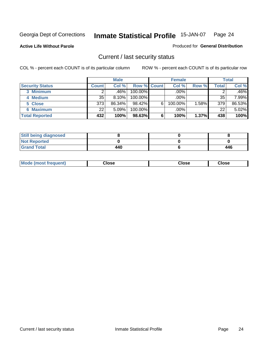**Active Life Without Parole** 

Produced for **General Distribution**

### Current / last security status

|                        |              | <b>Male</b> |                    |   | <b>Female</b> |       |       | <b>Total</b> |
|------------------------|--------------|-------------|--------------------|---|---------------|-------|-------|--------------|
| <b>Security Status</b> | <b>Count</b> | Col %       | <b>Row % Count</b> |   | Col %         | Row % | Total | Col %        |
| 3 Minimum              |              | .46%        | $100.00\%$         |   | .00%          |       |       | .46%         |
| 4 Medium               | 35           | 8.10%       | $100.00\%$         |   | $.00\%$       |       | 35    | 7.99%        |
| 5 Close                | 373          | 86.34%      | $98.42\%$          | 6 | 100.00%       | 1.58% | 379   | 86.53%       |
| 6 Maximum              | 22           | 5.09%       | 100.00%            |   | .00%          |       | 22    | 5.02%        |
| <b>Total Reported</b>  | 432          | 100%        | 98.63%             | 6 | 100%          | 1.37% | 438   | 100%         |

| <b>Still being diagnosed</b> |     |     |
|------------------------------|-----|-----|
| <b>Not Reported</b>          |     |     |
| <b>Grand Total</b>           | 440 | 446 |

| <b>Mode</b><br><b>OSE</b><br>∵lose<br>(most frequent)<br>oseث<br>- - - -<br>- - - -<br>- - - - |  |
|------------------------------------------------------------------------------------------------|--|
|------------------------------------------------------------------------------------------------|--|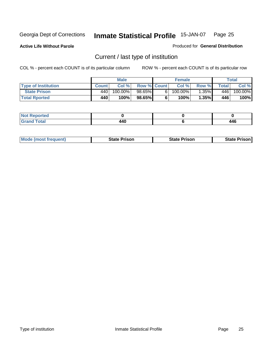**Active Life Without Parole** 

Produced for **General Distribution**

### Current / last type of institution

|                            |              | <b>Male</b> |                    | <b>Female</b>     |          |         | Total   |
|----------------------------|--------------|-------------|--------------------|-------------------|----------|---------|---------|
| <b>Type of Institution</b> | <b>Count</b> | Col%        | <b>Row % Count</b> | Col %             | Row %I   | Total I | Col %   |
| <b>State Prison</b>        | 440          | 100.00%」    | 98.65%             | $100.00\%$        | $1.35\%$ | 446     | 100.00% |
| <b>Total Rported</b>       | 440          | 100%        | 98.65%             | 100% <sub>1</sub> | 1.35%    | 446     | 100%    |

| <b>rted</b><br>$\sim$ |                                  |                      |
|-----------------------|----------------------------------|----------------------|
| $ -$                  | $\overline{a}$<br>44 Y<br>$\sim$ | 1 G<br>44v<br>$\sim$ |

| <b>Mode (most frequent)</b> | <b>State Prison</b> | <b>State Prison</b> | <b>State Prison I</b> |
|-----------------------------|---------------------|---------------------|-----------------------|
|                             |                     |                     |                       |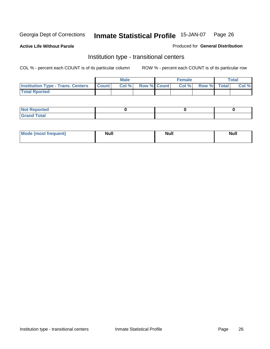**Active Life Without Parole** 

Produced for **General Distribution**

### Institution type - transitional centers

|                                                | Male  |                    | <b>Female</b> |             | <b>Total</b> |
|------------------------------------------------|-------|--------------------|---------------|-------------|--------------|
| <b>Institution Type - Trans. Centers Count</b> | Col % | <b>Row % Count</b> | Col %         | Row % Total | Col %        |
| <b>Total Rported</b>                           |       |                    |               |             |              |

| <b>Not Reported</b>             |  |  |
|---------------------------------|--|--|
| Cotal<br>Cror<br>. <del>.</del> |  |  |

| Mode (most frequent) | <b>Null</b> | <b>Null</b> | <b>Null</b> |
|----------------------|-------------|-------------|-------------|
|                      |             |             |             |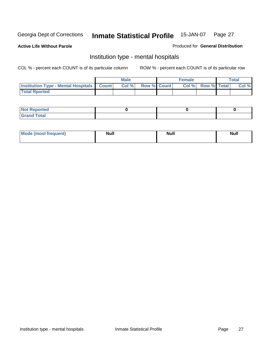**Active Life Without Parole** 

Produced for **General Distribution**

### Institution type - mental hospitals

|                                                  | Male |                    | <b>Female</b> |                    | <b>Total</b> |
|--------------------------------------------------|------|--------------------|---------------|--------------------|--------------|
| <b>Institution Type - Mental Hospitals Count</b> | Col% | <b>Row % Count</b> | Col%          | <b>Row % Total</b> | Col %        |
| <b>Total Rported</b>                             |      |                    |               |                    |              |

| <b>Not Reported</b> |  |  |
|---------------------|--|--|
| <b>Fotal</b><br>Cro |  |  |

| Mode (most frequent) | <b>Null</b> | <b>Null</b> | <b>Null</b> |
|----------------------|-------------|-------------|-------------|
|                      |             |             |             |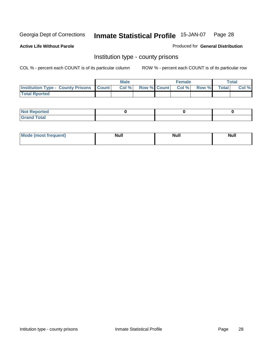**Active Life Without Parole** 

Produced for **General Distribution**

### Institution type - county prisons

|                                                    | <b>Male</b> |  | <b>Female</b>     |       |              | Total |
|----------------------------------------------------|-------------|--|-------------------|-------|--------------|-------|
| <b>Institution Type - County Prisons   Count  </b> | Col%        |  | Row % Count Col % | Row % | <b>Total</b> | Col % |
| <b>Total Rported</b>                               |             |  |                   |       |              |       |

| <b>Not</b><br><b>Reported</b> |  |  |
|-------------------------------|--|--|
| <b>Grand Total</b>            |  |  |

| <b>Mode</b> | <b>Null</b> | <b>Null</b> | <b>Null</b> |
|-------------|-------------|-------------|-------------|
| frequent)   |             |             |             |
|             |             |             |             |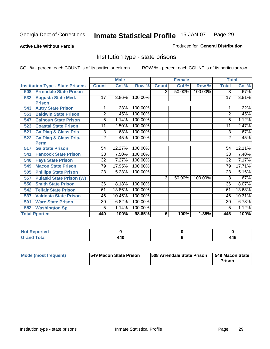**Active Life Without Parole** 

Produced for **General Distribution**

### Institution type - state prisons

|                                         |                 | <b>Male</b> |         |              | <b>Female</b> |         | <b>Total</b>    |        |
|-----------------------------------------|-----------------|-------------|---------|--------------|---------------|---------|-----------------|--------|
| <b>Institution Type - State Prisons</b> | <b>Count</b>    | Col %       | Row %   | <b>Count</b> | Col %         | Row %   | <b>Total</b>    | Col %  |
| <b>Arrendale State Prison</b><br>508    |                 |             |         | 3            | 50.00%        | 100.00% | $\overline{3}$  | .67%   |
| <b>Augusta State Med.</b><br>532        | 17              | 3.86%       | 100.00% |              |               |         | 17              | 3.81%  |
| <b>Prison</b>                           |                 |             |         |              |               |         |                 |        |
| <b>Autry State Prison</b><br>543        |                 | .23%        | 100.00% |              |               |         |                 | .22%   |
| <b>Baldwin State Prison</b><br>553      | $\overline{2}$  | .45%        | 100.00% |              |               |         | 2               | .45%   |
| <b>Calhoun State Prison</b><br>547      | 5               | 1.14%       | 100.00% |              |               |         | 5               | 1.12%  |
| <b>Coastal State Prison</b><br>523      | 11              | 2.50%       | 100.00% |              |               |         | 11              | 2.47%  |
| <b>Ga Diag &amp; Class Pris</b><br>521  | 3               | .68%        | 100.00% |              |               |         | 3               | .67%   |
| <b>Ga Diag &amp; Class Pris-</b><br>522 | $\overline{2}$  | .45%        | 100.00% |              |               |         | 2               | .45%   |
| <b>Perm</b>                             |                 |             |         |              |               |         |                 |        |
| <b>Ga State Prison</b><br>517           | 54              | 12.27%      | 100.00% |              |               |         | 54              | 12.11% |
| <b>Hancock State Prison</b><br>541      | $\overline{33}$ | 7.50%       | 100.00% |              |               |         | $\overline{33}$ | 7.40%  |
| <b>Hays State Prison</b><br>540         | $\overline{32}$ | 7.27%       | 100.00% |              |               |         | $\overline{32}$ | 7.17%  |
| <b>Macon State Prison</b><br>549        | 79              | 17.95%      | 100.00% |              |               |         | 79              | 17.71% |
| <b>Phillips State Prison</b><br>505     | 23              | 5.23%       | 100.00% |              |               |         | 23              | 5.16%  |
| <b>Pulaski State Prison (W)</b><br>557  |                 |             |         | 3            | 50.00%        | 100.00% | 3               | .67%   |
| <b>Smith State Prison</b><br>550        | $\overline{36}$ | 8.18%       | 100.00% |              |               |         | $\overline{36}$ | 8.07%  |
| <b>Telfair State Prison</b><br>542      | 61              | 13.86%      | 100.00% |              |               |         | 61              | 13.68% |
| <b>Valdosta State Prison</b><br>537     | 46              | 10.45%      | 100.00% |              |               |         | 46              | 10.31% |
| <b>Ware State Prison</b><br>501         | 30              | 6.82%       | 100.00% |              |               |         | 30              | 6.73%  |
| <b>Washington Sp</b><br>552             | 5               | 1.14%       | 100.00% |              |               |         | 5               | 1.12%  |
| <b>Total Rported</b>                    | 440             | 100%        | 98.65%  | 6            | 100%          | 1.35%   | 446             | 100%   |

| rtea                        |     |                      |
|-----------------------------|-----|----------------------|
| $T \cap f \cap T$<br>______ | 440 | <i>AAC</i><br>$\sim$ |

| Mode (most frequent) | 1549 Macon State Prison | <b>508 Arrendale State Prison</b> | 1549 Macon State<br>Prison |
|----------------------|-------------------------|-----------------------------------|----------------------------|
|----------------------|-------------------------|-----------------------------------|----------------------------|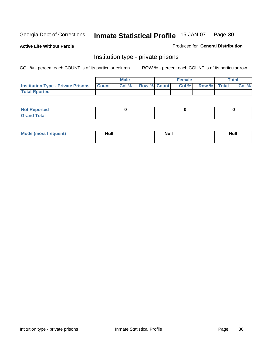**Active Life Without Parole** 

Produced for **General Distribution**

### Institution type - private prisons

|                                                 | <b>Male</b> |                    | <b>Female</b> |             | Total |
|-------------------------------------------------|-------------|--------------------|---------------|-------------|-------|
| <b>Institution Type - Private Prisons Count</b> | Col %       | <b>Row % Count</b> | Col %         | Row % Total | Col % |
| <b>Total Rported</b>                            |             |                    |               |             |       |

| <b>Not Reported</b>  |  |  |
|----------------------|--|--|
| <b>Total</b><br>Cror |  |  |

| Mode (most frequent) | <b>Null</b> | <b>Null</b> | <b>Null</b> |
|----------------------|-------------|-------------|-------------|
|                      |             |             |             |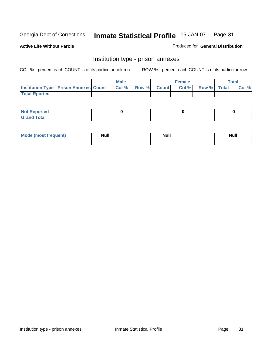**Active Life Without Parole** 

Produced for **General Distribution**

### Institution type - prison annexes

|                                                | <b>Male</b> |              |                | <b>Female</b> |             | <b>Total</b> |
|------------------------------------------------|-------------|--------------|----------------|---------------|-------------|--------------|
| <b>Institution Type - Prison Annexes Count</b> | Col%        | <b>Row %</b> | <b>Count</b> Ⅰ | Col%          | Row % Total | Col %        |
| <b>Total Rported</b>                           |             |              |                |               |             |              |

| <b>Not Reported</b>            |  |  |
|--------------------------------|--|--|
| <b>Total</b><br>Croi<br>$\sim$ |  |  |

| Mode (most frequent) | <b>Null</b> | <b>Null</b> | <b>Null</b> |
|----------------------|-------------|-------------|-------------|
|                      |             |             |             |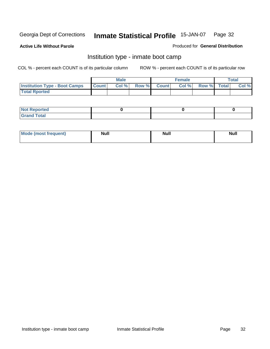**Active Life Without Parole** 

Produced for **General Distribution**

### Institution type - inmate boot camp

|                                      |              | Male  |             | <b>Female</b> |             | <b>Total</b> |
|--------------------------------------|--------------|-------|-------------|---------------|-------------|--------------|
| <b>Institution Type - Boot Camps</b> | <b>Count</b> | Col % | Row % Count | Col%          | Row % Total | Col %        |
| <b>Total Rported</b>                 |              |       |             |               |             |              |

| <b>Not Reported</b>           |  |  |
|-------------------------------|--|--|
| <b>Total</b><br>Gra<br>$\sim$ |  |  |

| <b>Mode (most frequent)</b> | <b>Null</b> | <b>Null</b> | <b>Null</b> |
|-----------------------------|-------------|-------------|-------------|
|                             |             |             |             |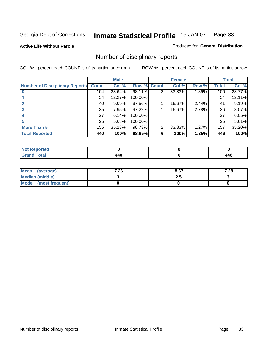**Active Life Without Parole** 

Produced for **General Distribution**

### Number of disciplinary reports

|                                       |                 | <b>Male</b> |             |   | <b>Female</b> |       |              | <b>Total</b> |
|---------------------------------------|-----------------|-------------|-------------|---|---------------|-------|--------------|--------------|
| <b>Number of Disciplinary Reports</b> | <b>Count</b>    | Col %       | Row % Count |   | Col %         | Row % | <b>Total</b> | Col %        |
|                                       | 104             | 23.64%      | 98.11%      | 2 | 33.33%        | 1.89% | 106          | 23.77%       |
|                                       | 54 <sup>1</sup> | 12.27%      | 100.00%     |   |               |       | 54           | 12.11%       |
|                                       | 40              | $9.09\%$    | 97.56%      |   | 16.67%        | 2.44% | 41           | 9.19%        |
|                                       | 35              | 7.95%       | 97.22%      |   | 16.67%        | 2.78% | 36           | 8.07%        |
|                                       | 27              | 6.14%       | 100.00%     |   |               |       | 27           | 6.05%        |
|                                       | 25 <sup>1</sup> | 5.68%       | 100.00%     |   |               |       | 25           | 5.61%        |
| <b>More Than 5</b>                    | 155             | 35.23%      | 98.73%      | 2 | 33.33%        | 1.27% | 157          | 35.20%       |
| <b>Total Reported</b>                 | 440             | 100%        | 98.65%      | 6 | 100%          | 1.35% | 446          | 100%         |

| .<br>N<br>Ter. |        |        |
|----------------|--------|--------|
| ™∩tal          | .AC    | 1 A G  |
|                | $\sim$ | $\sim$ |

| Mean (average)       | 7.26 | 8.67 | 7.28 |
|----------------------|------|------|------|
| Median (middle)      |      | 2.J  |      |
| Mode (most frequent) |      |      |      |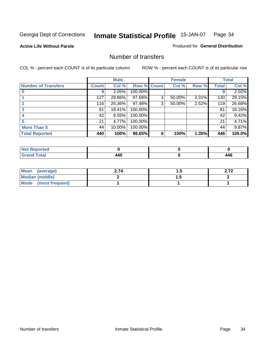#### **Active Life Without Parole**

#### Produced for **General Distribution**

### Number of transfers

|                            |         | <b>Male</b> |         |              | <b>Female</b> |       |              | <b>Total</b> |
|----------------------------|---------|-------------|---------|--------------|---------------|-------|--------------|--------------|
| <b>Number of Transfers</b> | Count l | Col %       | Row %   | <b>Count</b> | Col %         | Row % | <b>Total</b> | Col %        |
|                            | 9       | 2.05%       | 100.00% |              |               |       | 9            | 2.02%        |
|                            | 127     | 28.86%      | 97.69%  | 3            | 50.00%        | 2.31% | 130          | 29.15%       |
| $\mathbf{c}$               | 116     | 26.36%      | 97.48%  | 3            | 50.00%        | 2.52% | 119          | 26.68%       |
| 3                          | 81      | 18.41%      | 100.00% |              |               |       | 81           | 18.16%       |
|                            | 42      | 9.55%       | 100.00% |              |               |       | 42           | 9.42%        |
|                            | 21      | 4.77%       | 100.00% |              |               |       | 21           | 4.71%        |
| <b>More Than 5</b>         | 44      | 10.00%      | 100.00% |              |               |       | 44           | 9.87%        |
| <b>Total Reported</b>      | 440     | 100%        | 98.65%  | 6            | 100%          | 1.35% | 446          | 100.0%       |

| N<br>тео |                 |                        |
|----------|-----------------|------------------------|
| $\sim$   | . A C<br>$\sim$ | $\overline{A}$<br>- TV |

| Mean (average)       | 2.74 | ن. ا | 2.I Z |
|----------------------|------|------|-------|
| Median (middle)      |      | .    |       |
| Mode (most frequent) |      |      |       |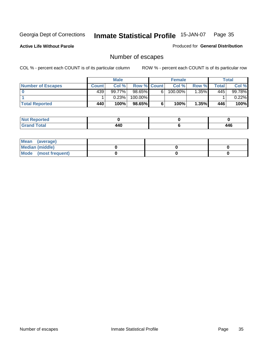**Active Life Without Parole** 

Produced for **General Distribution**

### Number of escapes

|                       |         | <b>Male</b> |                    |    | <b>Female</b>         |         |       | <b>Total</b> |
|-----------------------|---------|-------------|--------------------|----|-----------------------|---------|-------|--------------|
| Number of Escapes     | Count l | Col %       | <b>Row % Count</b> |    | Col %                 | Row %   | Total | Col %        |
|                       | 439'    | $99.77\%$   | $98.65\%$          | 6' | $100.\overline{00\%}$ | $.35\%$ | 445   | 99.78%       |
|                       |         | 0.23%       | 100.00%            |    |                       |         |       | 0.22%        |
| <b>Total Reported</b> | 440     | 100%        | $98.65\%$          |    | 100%                  | 1.35%   | 446   | 100%         |

| neo                              |             |     |
|----------------------------------|-------------|-----|
| <b>cotal</b><br>$\mathbf{v}$ and | 1 A C<br>-- | 446 |

| Mean (average)       |  |  |
|----------------------|--|--|
| Median (middle)      |  |  |
| Mode (most frequent) |  |  |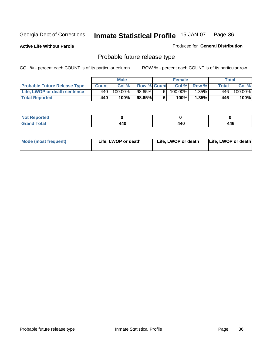**Active Life Without Parole** 

Produced for **General Distribution**

### Probable future release type

|                                     |              | <b>Male</b> |                    |   | <b>Female</b> |          |              | Total   |
|-------------------------------------|--------------|-------------|--------------------|---|---------------|----------|--------------|---------|
| <b>Probable Future Release Type</b> | <b>Count</b> | Col%        | <b>Row % Count</b> |   | Col%          | Row %    | <b>Total</b> | Col %   |
| Life, LWOP or death sentence        | 440          | $100.00\%$  | $98.65\%$          | 6 | 100.00%       | $1.35\%$ | 446          | 100.00% |
| <b>Total Reported</b>               | 440          | 100%        | 98.65%             | 6 | 100%          | 1.35%    | 446          | 100%    |

| <b>Reported</b><br>NOT |     |     |     |
|------------------------|-----|-----|-----|
| Γotal                  | ،40 | 440 | 446 |

| <b>Mode (most frequent)</b> | Life, LWOP or death | Life, LWOP or death | Life, LWOP or death |
|-----------------------------|---------------------|---------------------|---------------------|
|-----------------------------|---------------------|---------------------|---------------------|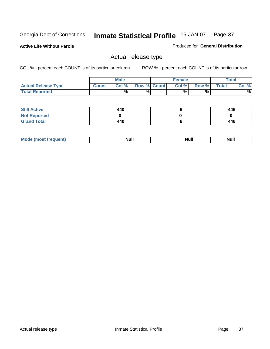**Active Life Without Parole** 

Produced for **General Distribution**

### Actual release type

|                            |              | <b>Male</b> |                    | <b>Female</b> |        |       | Total |
|----------------------------|--------------|-------------|--------------------|---------------|--------|-------|-------|
| <b>Actual Release Type</b> | <b>Count</b> | Col %       | <b>Row % Count</b> | Col %         | Row %I | Total | Col % |
| <b>Total Reported</b>      |              | $\%$        | %                  | %             | %      |       | %     |

| <b>Still Active</b> | 440 | 446 |
|---------------------|-----|-----|
| <b>Not Reported</b> |     |     |
| <b>Grand Total</b>  | 440 | 446 |

| . | . | ------ |
|---|---|--------|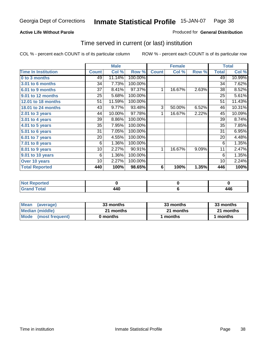### **Active Life Without Parole**

### Produced for **General Distribution**

### Time served in current (or last) institution

|                            |              | <b>Male</b> |         |              | <b>Female</b> |       |              | <b>Total</b> |
|----------------------------|--------------|-------------|---------|--------------|---------------|-------|--------------|--------------|
| <b>Time In Institution</b> | <b>Count</b> | Col %       | Row %   | <b>Count</b> | Col %         | Row % | <b>Total</b> | Col %        |
| 0 to 3 months              | 49           | 11.14%      | 100.00% |              |               |       | 49           | 10.99%       |
| 3.01 to 6 months           | 34           | 7.73%       | 100.00% |              |               |       | 34           | 7.62%        |
| 6.01 to 9 months           | 37           | 8.41%       | 97.37%  | 1            | 16.67%        | 2.63% | 38           | 8.52%        |
| 9.01 to 12 months          | 25           | 5.68%       | 100.00% |              |               |       | 25           | 5.61%        |
| 12.01 to 18 months         | 51           | 11.59%      | 100.00% |              |               |       | 51           | 11.43%       |
| 18.01 to 24 months         | 43           | 9.77%       | 93.48%  | 3            | 50.00%        | 6.52% | 46           | 10.31%       |
| 2.01 to 3 years            | 44           | 10.00%      | 97.78%  | 1            | 16.67%        | 2.22% | 45           | 10.09%       |
| 3.01 to 4 years            | 39           | 8.86%       | 100.00% |              |               |       | 39           | 8.74%        |
| 4.01 to 5 years            | 35           | 7.95%       | 100.00% |              |               |       | 35           | 7.85%        |
| 5.01 to 6 years            | 31           | 7.05%       | 100.00% |              |               |       | 31           | 6.95%        |
| 6.01 to 7 years            | 20           | 4.55%       | 100.00% |              |               |       | 20           | 4.48%        |
| $7.01$ to 8 years          | 6            | 1.36%       | 100.00% |              |               |       | 6            | 1.35%        |
| 8.01 to 9 years            | 10           | 2.27%       | 90.91%  | 1            | 16.67%        | 9.09% | 11           | 2.47%        |
| 9.01 to 10 years           | 6            | 1.36%       | 100.00% |              |               |       | 6            | 1.35%        |
| Over 10 years              | 10           | 2.27%       | 100.00% |              |               |       | 10           | 2.24%        |
| <b>Total Reported</b>      | 440          | 100%        | 98.65%  | 6            | 100%          | 1.35% | 446          | 100%         |

| <b>Reported</b><br><b>Not</b> |     |      |
|-------------------------------|-----|------|
| <b>Total</b>                  | 440 | AAC. |

| <b>Mean</b><br>(average) | 33 months | 33 months | 33 months |  |
|--------------------------|-----------|-----------|-----------|--|
| Median (middle)          | 21 months | 21 months | 21 months |  |
| Mode (most frequent)     | 0 months  | ∣ months  | months    |  |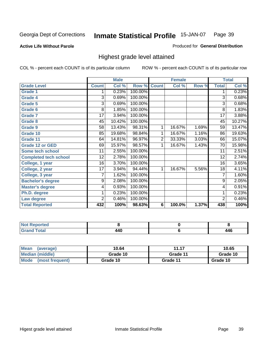**Active Life Without Parole** 

Produced for **General Distribution**

### Highest grade level attained

|                              |                 | <b>Male</b> |         |                | <b>Female</b> |       |                 | <b>Total</b> |
|------------------------------|-----------------|-------------|---------|----------------|---------------|-------|-----------------|--------------|
| <b>Grade Level</b>           | <b>Count</b>    | Col %       | Row %   | <b>Count</b>   | Col %         | Row % | <b>Total</b>    | Col %        |
| <b>Grade 1</b>               | 1               | 0.23%       | 100.00% |                |               |       | 1               | 0.23%        |
| <b>Grade 4</b>               | $\overline{3}$  | 0.69%       | 100.00% |                |               |       | 3               | 0.68%        |
| Grade 5                      | 3               | 0.69%       | 100.00% |                |               |       | 3               | 0.68%        |
| Grade 6                      | 8               | 1.85%       | 100.00% |                |               |       | 8               | 1.83%        |
| <b>Grade 7</b>               | $\overline{17}$ | 3.94%       | 100.00% |                |               |       | $\overline{17}$ | 3.88%        |
| Grade 8                      | 45              | 10.42%      | 100.00% |                |               |       | 45              | 10.27%       |
| <b>Grade 9</b>               | 58              | 13.43%      | 98.31%  | 1              | 16.67%        | 1.69% | 59              | 13.47%       |
| Grade 10                     | 85              | 19.68%      | 98.84%  | 1              | 16.67%        | 1.16% | 86              | 19.63%       |
| Grade 11                     | 64              | 14.81%      | 96.97%  | $\overline{2}$ | 33.33%        | 3.03% | 66              | 15.07%       |
| <b>Grade 12 or GED</b>       | 69              | 15.97%      | 98.57%  | 1              | 16.67%        | 1.43% | 70              | 15.98%       |
| <b>Some tech school</b>      | 11              | 2.55%       | 100.00% |                |               |       | 11              | 2.51%        |
| <b>Completed tech school</b> | 12              | 2.78%       | 100.00% |                |               |       | 12              | 2.74%        |
| College, 1 year              | 16              | 3.70%       | 100.00% |                |               |       | 16              | 3.65%        |
| College, 2 year              | 17              | 3.94%       | 94.44%  | 1              | 16.67%        | 5.56% | 18              | 4.11%        |
| College, 3 year              | 7               | 1.62%       | 100.00% |                |               |       | 7               | 1.60%        |
| <b>Bachelor's degree</b>     | 9               | 2.08%       | 100.00% |                |               |       | 9               | 2.05%        |
| <b>Master's degree</b>       | 4               | 0.93%       | 100.00% |                |               |       | 4               | 0.91%        |
| Ph.D. degree                 | 1               | 0.23%       | 100.00% |                |               |       | 1               | 0.23%        |
| Law degree                   | $\overline{2}$  | 0.46%       | 100.00% |                |               |       | $\overline{2}$  | 0.46%        |
| <b>Total Reported</b>        | 432             | 100%        | 98.63%  | 6              | 100.0%        | 1.37% | 438             | 100%         |

| المناسب<br>rtea<br>NG<br>.           |       |                    |
|--------------------------------------|-------|--------------------|
| $T0$ to <sup>r</sup><br><b></b><br>- | A A C | <i>AAC</i><br>44 O |

| <b>Mean</b><br>(average)       | 10.64    | 11.17    | 10.65    |
|--------------------------------|----------|----------|----------|
| Median (middle)                | Grade 10 | Grade 11 | Grade 10 |
| <b>Mode</b><br>(most frequent) | Grade 10 | Grade 11 | Grade 10 |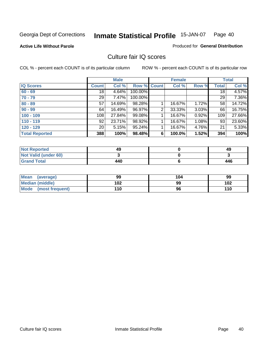**Active Life Without Parole** 

Produced for **General Distribution**

### Culture fair IQ scores

|                       |                 | <b>Male</b> |         |              | <b>Female</b> |       |              | <b>Total</b> |
|-----------------------|-----------------|-------------|---------|--------------|---------------|-------|--------------|--------------|
| <b>IQ Scores</b>      | <b>Count</b>    | Col %       | Row %   | <b>Count</b> | Col %         | Row % | <b>Total</b> | Col %        |
| $60 - 69$             | 18              | 4.64%       | 100.00% |              |               |       | 18           | 4.57%        |
| $70 - 79$             | 29              | 7.47%       | 100.00% |              |               |       | 29           | 7.36%        |
| $80 - 89$             | 57              | 14.69%      | 98.28%  |              | 16.67%        | 1.72% | 58           | 14.72%       |
| $90 - 99$             | 64              | 16.49%      | 96.97%  | 2            | 33.33%        | 3.03% | 66           | 16.75%       |
| $100 - 109$           | 108             | 27.84%      | 99.08%  |              | 16.67%        | 0.92% | 109          | 27.66%       |
| $110 - 119$           | 92              | 23.71%      | 98.92%  |              | 16.67%        | 1.08% | 93           | 23.60%       |
| $120 - 129$           | 20 <sub>1</sub> | 5.15%       | 95.24%  |              | 16.67%        | 4.76% | 21           | 5.33%        |
| <b>Total Reported</b> | 388             | 100%        | 98.48%  | 6            | 100.0%        | 1.52% | 394          | 100%         |

| <b>Not Reported</b>         | 49  | 49  |
|-----------------------------|-----|-----|
| <b>Not Valid (under 60)</b> |     |     |
| <b>Grand Total</b>          | 440 | 446 |

| <b>Mean</b><br>(average) | 99  | 104 | 99  |
|--------------------------|-----|-----|-----|
| <b>Median (middle)</b>   | 102 | 99  | 102 |
| Mode (most frequent)     | 110 | 96  | 110 |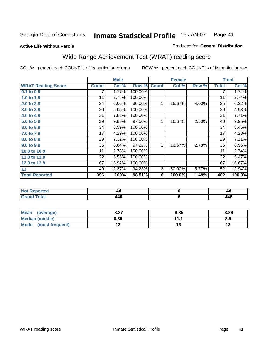#### **Active Life Without Parole**

### Produced for **General Distribution**

### Wide Range Achievement Test (WRAT) reading score

|                           |              | <b>Male</b> |         |                | <b>Female</b>  |       |              | <b>Total</b> |
|---------------------------|--------------|-------------|---------|----------------|----------------|-------|--------------|--------------|
| <b>WRAT Reading Score</b> | <b>Count</b> | Col %       | Row %   | <b>Count</b>   | Col %          | Row % | <b>Total</b> | Col %        |
| 0.1 to 0.9                |              | 1.77%       | 100.00% |                |                |       | 7            | 1.74%        |
| 1.0 to 1.9                | 11           | 2.78%       | 100.00% |                |                |       | 11           | 2.74%        |
| 2.0 to 2.9                | 24           | 6.06%       | 96.00%  | 1              | 16.67%         | 4.00% | 25           | 6.22%        |
| 3.0 to 3.9                | 20           | 5.05%       | 100.00% |                |                |       | 20           | 4.98%        |
| 4.0 to 4.9                | 31           | 7.83%       | 100.00% |                |                |       | 31           | 7.71%        |
| 5.0 to 5.9                | 39           | 9.85%       | 97.50%  | 1              | 16.67%         | 2.50% | 40           | 9.95%        |
| 6.0 to 6.9                | 34           | 8.59%       | 100.00% |                |                |       | 34           | 8.46%        |
| 7.0 to 7.9                | 17           | 4.29%       | 100.00% |                |                |       | 17           | 4.23%        |
| 8.0 to 8.9                | 29           | 7.32%       | 100.00% |                |                |       | 29           | 7.21%        |
| 9.0 to 9.9                | 35           | 8.84%       | 97.22%  | 1              | 16.67%         | 2.78% | 36           | 8.96%        |
| 10.0 to 10.9              | 11           | 2.78%       | 100.00% |                |                |       | 11           | 2.74%        |
| 11.0 to 11.9              | 22           | 5.56%       | 100.00% |                |                |       | 22           | 5.47%        |
| 12.0 to 12.9              | 67           | 16.92%      | 100.00% |                |                |       | 67           | 16.67%       |
| 13                        | 49           | 12.37%      | 94.23%  | $\overline{3}$ | 50.00%         | 5.77% | 52           | 12.94%       |
| <b>Total Reported</b>     | 396          | 100%        | 98.51%  | 6              | 100.0%         | 1.49% | 402          | 100.0%       |
|                           |              |             |         |                |                |       |              |              |
| <b>Not Reported</b>       |              | 44          |         |                | $\pmb{0}$      |       |              | 44           |
| <b>Grand Total</b>        |              | 440         |         |                | $6\phantom{1}$ |       |              | 446          |

| <b>Mean</b><br>(average) | 0.27<br>0.Z1 | 9.35     | 8.29 |
|--------------------------|--------------|----------|------|
| Median (middle)          | 8.35         | 111<br>. | o.u  |
| Mode<br>(most frequent)  | IJ           | IJ       |      |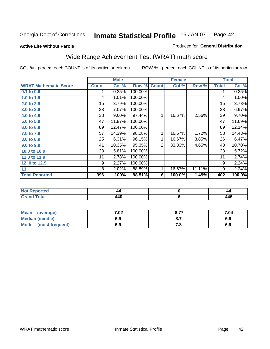**Active Life Without Parole** 

#### Produced for **General Distribution**

# Wide Range Achievement Test (WRAT) math score

|                              |                 | <b>Male</b> |         |                | <b>Female</b>  |        |                 | <b>Total</b> |
|------------------------------|-----------------|-------------|---------|----------------|----------------|--------|-----------------|--------------|
| <b>WRAT Mathematic Score</b> | <b>Count</b>    | Col %       | Row %   | <b>Count</b>   | Col %          | Row %  | <b>Total</b>    | Col %        |
| $0.1$ to $0.9$               |                 | 0.25%       | 100.00% |                |                |        | 1               | 0.25%        |
| 1.0 to 1.9                   | 4               | $1.01\%$    | 100.00% |                |                |        | 4               | 1.00%        |
| 2.0 to 2.9                   | 15              | 3.79%       | 100.00% |                |                |        | 15              | 3.73%        |
| 3.0 to 3.9                   | $\overline{28}$ | 7.07%       | 100.00% |                |                |        | $\overline{28}$ | 6.97%        |
| 4.0 to 4.9                   | 38              | 9.60%       | 97.44%  | 1              | 16.67%         | 2.56%  | 39              | 9.70%        |
| 5.0 to 5.9                   | 47              | 11.87%      | 100.00% |                |                |        | 47              | 11.69%       |
| 6.0 to 6.9                   | 89              | 22.47%      | 100.00% |                |                |        | 89              | 22.14%       |
| 7.0 to 7.9                   | 57              | 14.39%      | 98.28%  | 1              | 16.67%         | 1.72%  | 58              | 14.43%       |
| 8.0 to 8.9                   | 25              | 6.31%       | 96.15%  | 1              | 16.67%         | 3.85%  | 26              | 6.47%        |
| 9.0 to 9.9                   | 41              | 10.35%      | 95.35%  | $\overline{2}$ | 33.33%         | 4.65%  | 43              | 10.70%       |
| 10.0 to 10.9                 | 23              | 5.81%       | 100.00% |                |                |        | 23              | 5.72%        |
| 11.0 to 11.9                 | 11              | 2.78%       | 100.00% |                |                |        | 11              | 2.74%        |
| 12.0 to 12.9                 | 9               | 2.27%       | 100.00% |                |                |        | 9               | 2.24%        |
| 13                           | 8               | 2.02%       | 88.89%  | 1              | 16.67%         | 11.11% | 9               | 2.24%        |
| <b>Total Reported</b>        | 396             | 100%        | 98.51%  | 6              | 100.0%         | 1.49%  | 402             | 100.0%       |
|                              |                 |             |         |                |                |        |                 |              |
| <b>Not Reported</b>          |                 | 44          |         |                | $\pmb{0}$      |        |                 | 44           |
| <b>Grand Total</b>           |                 | 440         |         |                | $6\phantom{1}$ |        |                 | 446          |

| Mean<br>(average)       | 7.02 | 8.77 | 7.04 |
|-------------------------|------|------|------|
| <b>Median (middle)</b>  | 6.9  |      | 6.9  |
| Mode<br>(most frequent) | 6.9  | . o  | 6.9  |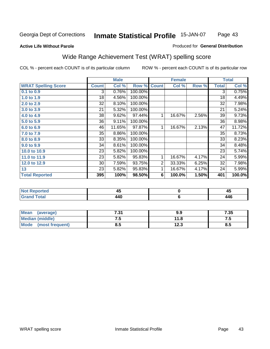### **Active Life Without Parole**

#### Produced for **General Distribution**

# Wide Range Achievement Test (WRAT) spelling score

|                            |              | <b>Male</b> |         |                | <b>Female</b> |       |                | <b>Total</b> |
|----------------------------|--------------|-------------|---------|----------------|---------------|-------|----------------|--------------|
| <b>WRAT Spelling Score</b> | <b>Count</b> | Col %       | Row %   | <b>Count</b>   | Col %         | Row % | <b>Total</b>   | Col %        |
| $0.1$ to $0.9$             | 3            | 0.76%       | 100.00% |                |               |       | $\overline{3}$ | 0.75%        |
| 1.0 to 1.9                 | 18           | 4.56%       | 100.00% |                |               |       | 18             | 4.49%        |
| 2.0 to 2.9                 | 32           | 8.10%       | 100.00% |                |               |       | 32             | 7.98%        |
| 3.0 to 3.9                 | 21           | 5.32%       | 100.00% |                |               |       | 21             | 5.24%        |
| 4.0 to 4.9                 | 38           | 9.62%       | 97.44%  | 1              | 16.67%        | 2.56% | 39             | 9.73%        |
| 5.0 to 5.9                 | 36           | 9.11%       | 100.00% |                |               |       | 36             | 8.98%        |
| 6.0 to 6.9                 | 46           | 11.65%      | 97.87%  | 1              | 16.67%        | 2.13% | 47             | 11.72%       |
| 7.0 to 7.9                 | 35           | 8.86%       | 100.00% |                |               |       | 35             | 8.73%        |
| 8.0 to 8.9                 | 33           | 8.35%       | 100.00% |                |               |       | 33             | 8.23%        |
| 9.0 to 9.9                 | 34           | 8.61%       | 100.00% |                |               |       | 34             | 8.48%        |
| 10.0 to 10.9               | 23           | 5.82%       | 100.00% |                |               |       | 23             | 5.74%        |
| 11.0 to 11.9               | 23           | 5.82%       | 95.83%  | 1              | 16.67%        | 4.17% | 24             | 5.99%        |
| 12.0 to 12.9               | 30           | 7.59%       | 93.75%  | $\overline{2}$ | 33.33%        | 6.25% | 32             | 7.98%        |
| 13                         | 23           | 5.82%       | 95.83%  | 1              | 16.67%        | 4.17% | 24             | 5.99%        |
| <b>Total Reported</b>      | 395          | 100%        | 98.50%  | 6              | 100.0%        | 1.50% | 401            | 100.0%       |
|                            |              |             |         |                |               |       |                |              |
| <b>Not Reported</b>        |              | 45          |         |                | $\pmb{0}$     |       |                | 45           |
| <b>Grand Total</b>         |              | 440         |         |                | $\bf 6$       |       |                | 446          |

| Mean<br>(average)              | 7.31 | 9.9  | 7.35 |
|--------------------------------|------|------|------|
| <b>Median (middle)</b>         | ں ،  | 11.8 | .    |
| <b>Mode</b><br>(most frequent) | ช.ว  | 12.3 | ၓ.ͻ  |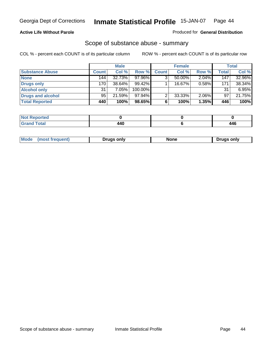### **Active Life Without Parole**

### Produced for **General Distribution**

### Scope of substance abuse - summary

|                        |              | <b>Male</b> |           |              | <b>Female</b> |       |       | Total    |
|------------------------|--------------|-------------|-----------|--------------|---------------|-------|-------|----------|
| <b>Substance Abuse</b> | <b>Count</b> | Col %       | Row %     | <b>Count</b> | Col %         | Row % | Total | Col %    |
| <b>None</b>            | 144          | 32.73%      | $97.96\%$ |              | 50.00%        | 2.04% | 147   | 32.96%   |
| Drugs only             | 170          | $38.64\%$   | $99.42\%$ |              | 16.67%        | 0.58% | 171   | 38.34%   |
| <b>Alcohol only</b>    | 31           | 7.05%       | 100.00%   |              |               |       | 31    | $6.95\%$ |
| Drugs and alcohol      | 95           | 21.59%      | $97.94\%$ | ◠            | 33.33%        | 2.06% | 97    | 21.75%   |
| <b>Total Reported</b>  | 440          | 100%        | 98.65%    | 6            | 100%          | 1.35% | 446   | 100%     |

| Reported<br>$\sim$ |       |       |
|--------------------|-------|-------|
| <b>Total</b>       | 1 A C | 1 A C |
| $\sim$             |       |       |

|  | Mode<br>ונוצוווי | Druas onlv | None | only<br>Pruas . |
|--|------------------|------------|------|-----------------|
|--|------------------|------------|------|-----------------|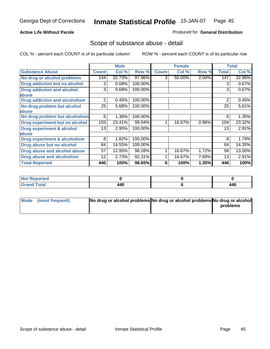### **Active Life Without Parole**

### Produced for **General Distribution**

### Scope of substance abuse - detail

|                                         |              | <b>Male</b> |         |              | <b>Female</b> |       |              | <b>Total</b> |
|-----------------------------------------|--------------|-------------|---------|--------------|---------------|-------|--------------|--------------|
| <b>Substance Abuse</b>                  | <b>Count</b> | Col %       | Row %   | <b>Count</b> | Col %         | Row % | <b>Total</b> | Col %        |
| No drug or alcohol problems             | 144          | 32.73%      | 97.96%  | 3            | 50.00%        | 2.04% | 147          | 32.96%       |
| Drug addiction but no alcohol           | 3            | 0.68%       | 100.00% |              |               |       | 3            | 0.67%        |
| <b>Drug addiction and alcohol</b>       | 3            | 0.68%       | 100.00% |              |               |       | 3            | 0.67%        |
| abuse                                   |              |             |         |              |               |       |              |              |
| <b>Drug addiction and alcoholism</b>    | 2            | 0.45%       | 100.00% |              |               |       | 2            | 0.45%        |
| No drug problem but alcohol             | 25           | 5.68%       | 100.00% |              |               |       | 25           | 5.61%        |
| abuse                                   |              |             |         |              |               |       |              |              |
| No drug problem but alcoholism          | 6            | 1.36%       | 100.00% |              |               |       | 6            | 1.35%        |
| Drug experiment but no alcohol          | 103          | 23.41%      | 99.04%  |              | 16.67%        | 0.96% | 104          | 23.32%       |
| <b>Drug experiment &amp; alcohol</b>    | 13           | 2.95%       | 100.00% |              |               |       | 13           | $2.91\%$     |
| abuse                                   |              |             |         |              |               |       |              |              |
| <b>Drug experiment &amp; alcoholism</b> | 8            | 1.82%       | 100.00% |              |               |       | 8            | 1.79%        |
| Drug abuse but no alcohol               | 64           | 14.55%      | 100.00% |              |               |       | 64           | 14.35%       |
| Drug abuse and alcohol abuse            | 57           | 12.95%      | 98.28%  |              | 16.67%        | 1.72% | 58           | 13.00%       |
| <b>Drug abuse and alcoholism</b>        | 12           | 2.73%       | 92.31%  |              | 16.67%        | 7.69% | 13           | 2.91%        |
| <b>Total Reported</b>                   | 440          | 100%        | 98.65%  | 6            | 100%          | 1.35% | 446          | 100%         |

| <b>Not Reported</b>          |     |     |
|------------------------------|-----|-----|
| <b>Total</b><br><b>Grano</b> | 440 | 446 |

| Mode (most frequent) | No drug or alcohol problems No drug or alcohol problems No drug or alcohol |          |
|----------------------|----------------------------------------------------------------------------|----------|
|                      |                                                                            | problems |
|                      |                                                                            |          |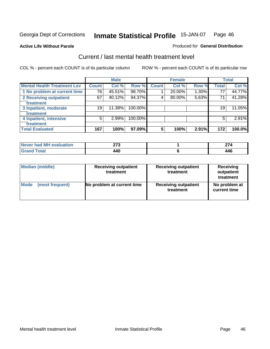### **Active Life Without Parole**

#### Produced for **General Distribution**

### Current / last mental health treatment level

|                                    |                 | <b>Male</b> |         |              | <b>Female</b> |       |              | <b>Total</b> |
|------------------------------------|-----------------|-------------|---------|--------------|---------------|-------|--------------|--------------|
| <b>Mental Health Treatment Lev</b> | <b>Count</b>    | Col %       | Row %   | <b>Count</b> | Col %         | Row % | <b>Total</b> | Col %        |
| 1 No problem at current time       | 76              | 45.51%      | 98.70%  |              | 20.00%        | 1.30% | 77           | 44.77%       |
| 2 Receiving outpatient             | 67              | 40.12%      | 94.37%  | 4            | 80.00%        | 5.63% | 71           | 41.28%       |
| treatment                          |                 |             |         |              |               |       |              |              |
| 3 Inpatient, moderate              | 19 <sub>1</sub> | 11.38%      | 100.00% |              |               |       | 19           | 11.05%       |
| treatment                          |                 |             |         |              |               |       |              |              |
| 4 Inpatient, intensive             | 5               | 2.99%       | 100.00% |              |               |       | 5            | $2.91\%$     |
| treatment                          |                 |             |         |              |               |       |              |              |
| <b>Total Evaluated</b>             | 167             | 100%        | 97.09%  | 5            | 100%          | 2.91% | 172          | 100.0%       |

| Never had MH evaluation | ヘフヘ | $\sim$ |
|-------------------------|-----|--------|
| Total                   | 440 | 446    |

| <b>Median (middle)</b> | <b>Receiving outpatient</b><br>treatment | <b>Receiving outpatient</b><br>treatment | <b>Receiving</b><br>outpatient<br>treatment |
|------------------------|------------------------------------------|------------------------------------------|---------------------------------------------|
| <b>Mode</b>            | No problem at current time               | <b>Receiving outpatient</b>              | No problem at                               |
| (most frequent)        |                                          | treatment                                | current time                                |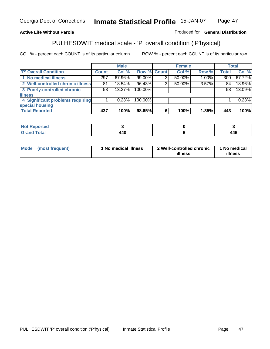### **Active Life Without Parole**

### Produced for **General Distribution**

# PULHESDWIT medical scale - 'P' overall condition ('P'hysical)

|                                   |              | <b>Male</b> |             |   | <b>Female</b> |          |              | <b>Total</b> |
|-----------------------------------|--------------|-------------|-------------|---|---------------|----------|--------------|--------------|
| 'P' Overall Condition             | <b>Count</b> | Col %       | Row % Count |   | Col %         | Row %    | <b>Total</b> | Col %        |
| 1 No medical illness              | 297          | 67.96%      | 99.00%      | ົ | 50.00%        | $1.00\%$ | 300          | 67.72%       |
| 2 Well-controlled chronic illness | 81           | 18.54%      | 96.43%      | 3 | $50.00\%$     | $3.57\%$ | 84           | 18.96%       |
| 3 Poorly-controlled chronic       | 58           | 13.27%      | 100.00%     |   |               |          | 58           | 13.09%       |
| <b>illness</b>                    |              |             |             |   |               |          |              |              |
| 4 Significant problems requiring  |              | 0.23%       | 100.00%     |   |               |          |              | 0.23%        |
| special housing                   |              |             |             |   |               |          |              |              |
| <b>Total Reported</b>             | 437          | 100%        | 98.65%      |   | 100%          | 1.35%    | 443          | 100%         |

| <b>Not Reported</b> |     |     |
|---------------------|-----|-----|
| <b>Grand Total</b>  | 440 | 446 |

| <b>Mode</b> | (most frequent) | <sup>1</sup> No medical illness | 2 Well-controlled chronic<br>illness | 1 No medical<br>illness |
|-------------|-----------------|---------------------------------|--------------------------------------|-------------------------|
|             |                 |                                 |                                      |                         |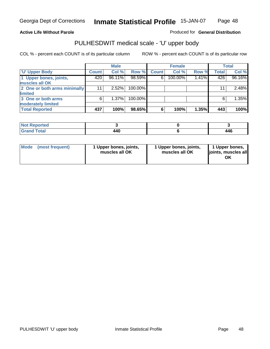Produced for **General Distribution**

### **Active Life Without Parole**

### PULHESDWIT medical scale - 'U' upper body

|                              |              | <b>Male</b> |         |              | <b>Female</b> |       |       | <b>Total</b> |
|------------------------------|--------------|-------------|---------|--------------|---------------|-------|-------|--------------|
| <b>U' Upper Body</b>         | <b>Count</b> | Col %       | Row %   | <b>Count</b> | Col %         | Row % | Total | Col %        |
| 1 Upper bones, joints,       | 420          | 96.11%      | 98.59%  | 6            | 100.00%       | 1.41% | 426   | 96.16%       |
| muscles all OK               |              |             |         |              |               |       |       |              |
| 2 One or both arms minimally | 11           | 2.52%       | 100.00% |              |               |       | 11    | 2.48%        |
| limited                      |              |             |         |              |               |       |       |              |
| 3 One or both arms           | 6            | 1.37%       | 100.00% |              |               |       | 6     | 1.35%        |
| moderately limited           |              |             |         |              |               |       |       |              |
| <b>Total Reported</b>        | 437          | 100%        | 98.65%  | 6            | 100%          | 1.35% | 443   | 100%         |

| <b>Not Reported</b> |     |      |
|---------------------|-----|------|
| <b>Total</b>        | 440 | A AC |

| Mode | (most frequent) | 1 Upper bones, joints,<br>muscles all OK | 1 Upper bones, joints,<br>muscles all OK | 1 Upper bones,<br>joints, muscles all |
|------|-----------------|------------------------------------------|------------------------------------------|---------------------------------------|
|------|-----------------|------------------------------------------|------------------------------------------|---------------------------------------|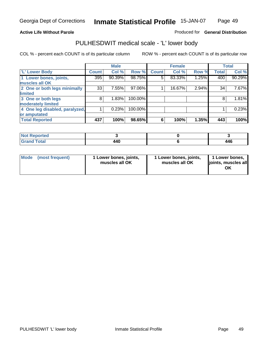#### **Active Life Without Parole**

#### Produced for **General Distribution**

### PULHESDWIT medical scale - 'L' lower body

|                                |              | <b>Male</b> |         |              | <b>Female</b> |       |              | <b>Total</b> |
|--------------------------------|--------------|-------------|---------|--------------|---------------|-------|--------------|--------------|
| 'L' Lower Body                 | <b>Count</b> | Col %       | Row %   | <b>Count</b> | Col %         | Row % | <b>Total</b> | Col %        |
| 1 Lower bones, joints,         | 395          | 90.39%      | 98.75%  | 5            | 83.33%        | 1.25% | 400          | 90.29%       |
| muscles all OK                 |              |             |         |              |               |       |              |              |
| 2 One or both legs minimally   | 33           | 7.55%       | 97.06%  |              | 16.67%        | 2.94% | 34           | 7.67%        |
| limited                        |              |             |         |              |               |       |              |              |
| 3 One or both legs             | 8            | 1.83%       | 100.00% |              |               |       | 8            | 1.81%        |
| moderately limited             |              |             |         |              |               |       |              |              |
| 4 One leg disabled, paralyzed, |              | 0.23%       | 100.00% |              |               |       |              | 0.23%        |
| or amputated                   |              |             |         |              |               |       |              |              |
| <b>Total Reported</b>          | 437          | 100%        | 98.65%  | 6            | 100%          | 1.35% | 443          | 100%         |

| <b>Not</b><br><b>ported</b>            |             |                    |
|----------------------------------------|-------------|--------------------|
| <b>Total</b><br><b>C</b> usu<br>------ | 18 A<br>771 | <i>AAC</i><br>44 O |

|  | Mode (most frequent) | 1 Lower bones, joints,<br>muscles all OK | 1 Lower bones, joints,<br>muscles all OK | 1 Lower bones,<br>joints, muscles all<br>OK |
|--|----------------------|------------------------------------------|------------------------------------------|---------------------------------------------|
|--|----------------------|------------------------------------------|------------------------------------------|---------------------------------------------|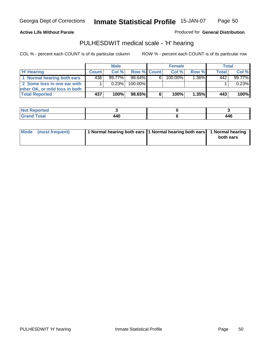Page 50

### **Active Life Without Parole**

Produced for **General Distribution**

### PULHESDWIT medical scale - 'H' hearing

|                                |              | <b>Male</b> |             |    | <b>Female</b> |       | <b>Total</b> |        |
|--------------------------------|--------------|-------------|-------------|----|---------------|-------|--------------|--------|
| 'H' Hearing                    | <b>Count</b> | Col%        | Row % Count |    | Col%          | Row % | <b>Total</b> | Col %  |
| 1 Normal hearing both ears     | 436          | $99.77\%$   | 98.64%      | 61 | 100.00%       | 1.36% | 442          | 99.77% |
| 2 Some loss in one ear with    |              | 0.23%       | 100.00%     |    |               |       |              | 0.23%  |
| other OK, or mild loss in both |              |             |             |    |               |       |              |        |
| <b>Total Reported</b>          | 437          | 100%        | 98.65%      |    | 100%          | 1.35% | 443          | 100%   |

| тео<br>- 131          |         |     |
|-----------------------|---------|-----|
| ------<br>----- ----- | _______ | 446 |

| Mode (most frequent) | 1 Normal hearing both ears 1 Normal hearing both ears 1 Normal hearing | both ears |
|----------------------|------------------------------------------------------------------------|-----------|
|                      |                                                                        |           |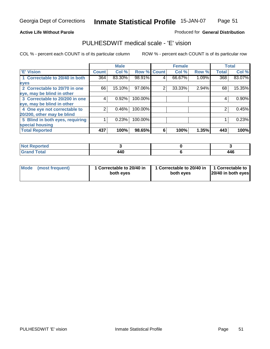Page 51

### **Active Life Without Parole**

### Produced for **General Distribution**

### PULHESDWIT medical scale - 'E' vision

|                                 |              | <b>Male</b> |                    |   | <b>Female</b> |       |              | <b>Total</b> |
|---------------------------------|--------------|-------------|--------------------|---|---------------|-------|--------------|--------------|
| <b>E' Vision</b>                | <b>Count</b> | Col %       | <b>Row % Count</b> |   | Col %         | Row % | <b>Total</b> | Col %        |
| 1 Correctable to 20/40 in both  | 364          | 83.30%      | 98.91%             | 4 | 66.67%        | 1.09% | 368          | 83.07%       |
| eyes                            |              |             |                    |   |               |       |              |              |
| 2 Correctable to 20/70 in one   | 66           | 15.10%      | 97.06%             | 2 | 33.33%        | 2.94% | 68           | 15.35%       |
| eye, may be blind in other      |              |             |                    |   |               |       |              |              |
| 3 Correctable to 20/200 in one  | 4            | 0.92%       | 100.00%            |   |               |       | 4            | $0.90\%$     |
| eye, may be blind in other      |              |             |                    |   |               |       |              |              |
| 4 One eye not correctable to    | っ            | 0.46%       | 100.00%            |   |               |       | 2            | 0.45%        |
| 20/200, other may be blind      |              |             |                    |   |               |       |              |              |
| 5 Blind in both eyes, requiring |              | 0.23%       | 100.00%            |   |               |       |              | 0.23%        |
| special housing                 |              |             |                    |   |               |       |              |              |
| <b>Total Reported</b>           | 437          | 100%        | 98.65%             | 6 | 100%          | 1.35% | 443          | 100%         |

| ντιea<br>$\cdots$     |     |                   |
|-----------------------|-----|-------------------|
| <b>otal</b><br>------ | 440 | <i>AAC</i><br>440 |

| <b>Mode</b>     | 1 Correctable to 20/40 in | 1 Correctable to 20/40 in   1 Correctable to | 20/40 in both eyes |
|-----------------|---------------------------|----------------------------------------------|--------------------|
| (most frequent) | both eyes                 | both eves                                    |                    |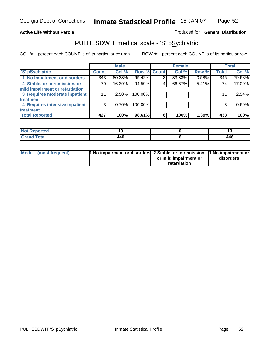### **Active Life Without Parole**

### Produced for **General Distribution**

### PULHESDWIT medical scale - 'S' pSychiatric

|                                |              | <b>Male</b> |                    |   | <b>Female</b> |       |              | <b>Total</b> |
|--------------------------------|--------------|-------------|--------------------|---|---------------|-------|--------------|--------------|
| 'S' pSychiatric                | <b>Count</b> | Col %       | <b>Row % Count</b> |   | Col %         | Row % | <b>Total</b> | Col %        |
| 1 No impairment or disorders   | 343          | 80.33%      | 99.42%             | 2 | 33.33%        | 0.58% | 345          | 79.68%       |
| 2 Stable, or in remission, or  | 70           | 16.39%      | 94.59%             | 4 | 66.67%        | 5.41% | 74           | 17.09%       |
| mild impairment or retardation |              |             |                    |   |               |       |              |              |
| 3 Requires moderate inpatient  | 11           | $2.58\%$    | 100.00%            |   |               |       | 11           | 2.54%        |
| treatment                      |              |             |                    |   |               |       |              |              |
| 4 Requires intensive inpatient | 3            | $0.70\%$    | 100.00%            |   |               |       | 3            | 0.69%        |
| treatment                      |              |             |                    |   |               |       |              |              |
| <b>Total Reported</b>          | 427          | 100%        | 98.61%             | 6 | 100%          | 1.39% | 433          | 100%         |

| eported<br>NOT |     | . . |
|----------------|-----|-----|
| <b>Total</b>   | 440 | 446 |

| Mode (most frequent) | 1 No impairment or disorders 2 Stable, or in remission, 11 No impairment or |                       |           |
|----------------------|-----------------------------------------------------------------------------|-----------------------|-----------|
|                      |                                                                             | or mild impairment or | disorders |
|                      |                                                                             | retardation           |           |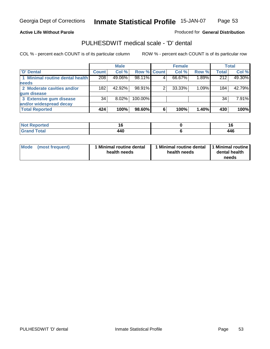Page 53

### **Active Life Without Parole**

Produced for **General Distribution**

### PULHESDWIT medical scale - 'D' dental

|                                 |       | <b>Male</b> |             |   | <b>Female</b> |       |              | <b>Total</b> |
|---------------------------------|-------|-------------|-------------|---|---------------|-------|--------------|--------------|
| <b>D'</b> Dental                | Count | Col %       | Row % Count |   | Col %         | Row % | <b>Total</b> | Col %        |
| 1 Minimal routine dental health | 208   | 49.06%      | 98.11%      |   | 66.67%        | 1.89% | 212          | 49.30%       |
| <b>needs</b>                    |       |             |             |   |               |       |              |              |
| 2 Moderate cavities and/or      | 182   | 42.92%      | 98.91%      |   | 33.33%        | 1.09% | 184          | 42.79%       |
| gum disease                     |       |             |             |   |               |       |              |              |
| 3 Extensive gum disease         | 34    | $8.02\%$    | 100.00%     |   |               |       | 34           | 7.91%        |
| and/or widespread decay         |       |             |             |   |               |       |              |              |
| <b>Total Reported</b>           | 424   | 100%        | 98.60%      | 6 | 100%          | 1.40% | 430          | 100%         |

| and an additional and<br>тео | 10                | ıс<br>__    |
|------------------------------|-------------------|-------------|
| <b>Total</b>                 | <br>,,,<br>$\sim$ | . .<br>44 U |

| Mode (most frequent) | <b>Minimal routine dental</b><br>health needs | 1 Minimal routine dental<br>health needs | 1 Minimal routine<br>dental health<br>needs |
|----------------------|-----------------------------------------------|------------------------------------------|---------------------------------------------|
|----------------------|-----------------------------------------------|------------------------------------------|---------------------------------------------|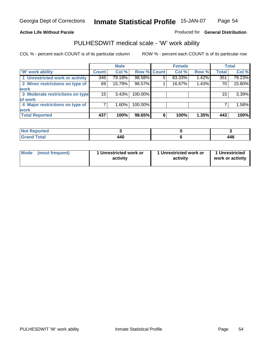### **Active Life Without Parole**

#### Produced for **General Distribution**

### PULHESDWIT medical scale - 'W' work ability

|                                 |              | <b>Male</b> |             |   | <b>Female</b> |       |              | <b>Total</b> |
|---------------------------------|--------------|-------------|-------------|---|---------------|-------|--------------|--------------|
| <b>W' work ability</b>          | <b>Count</b> | Col %       | Row % Count |   | Col %         | Row % | <b>Total</b> | Col %        |
| 1 Unrestricted work or activity | 346          | 79.18%      | 98.58%      | 5 | 83.33%        | 1.42% | 351          | 79.23%       |
| 2 Minor restrictions on type of | 69           | 15.79%      | 98.57%      |   | 16.67%        | 1.43% | 70           | 15.80%       |
| <b>work</b>                     |              |             |             |   |               |       |              |              |
| 3 Moderate restrictions on type | 15           | 3.43%       | 100.00%     |   |               |       | 15           | 3.39%        |
| of work                         |              |             |             |   |               |       |              |              |
| 4 Major restrictions on type of |              | $1.60\%$    | 100.00%     |   |               |       |              | 1.58%        |
| <b>work</b>                     |              |             |             |   |               |       |              |              |
| <b>Total Reported</b>           | 437          | 100%        | 98.65%      | 6 | 100%          | 1.35% | 443          | 100%         |

| <b>Reported</b><br><b>NOT</b> |     |     |
|-------------------------------|-----|-----|
| <b>Total</b><br>------        | 440 | 446 |

| Mode (most frequent)<br>1 Unrestricted work or<br>activity |  | 1 Unrestricted work or<br>activity | 1 Unrestricted<br>work or activity |  |
|------------------------------------------------------------|--|------------------------------------|------------------------------------|--|
|                                                            |  |                                    |                                    |  |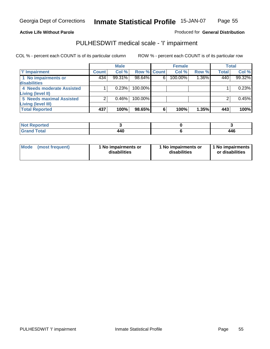Page 55

### **Active Life Without Parole**

### Produced for **General Distribution**

### PULHESDWIT medical scale - 'I' impairment

|                                 |              | <b>Male</b> |                    |   | <b>Female</b> |       |              | <b>Total</b> |
|---------------------------------|--------------|-------------|--------------------|---|---------------|-------|--------------|--------------|
| <b>T' Impairment</b>            | <b>Count</b> | Col %       | <b>Row % Count</b> |   | Col %         | Row % | <b>Total</b> | Col %        |
| 1 No impairments or             | 434          | 99.31%      | 98.64%             | 6 | 100.00%       | 1.36% | 440          | 99.32%       |
| disabilities                    |              |             |                    |   |               |       |              |              |
| 4 Needs moderate Assisted       |              | 0.23%       | 100.00%            |   |               |       |              | 0.23%        |
| Living (level II)               |              |             |                    |   |               |       |              |              |
| <b>5 Needs maximal Assisted</b> |              | 0.46%       | 100.00%            |   |               |       |              | 0.45%        |
| <b>Living (level III)</b>       |              |             |                    |   |               |       |              |              |
| <b>Total Reported</b>           | 437          | 100%        | 98.65%             | 6 | 100%          | 1.35% | 443          | 100%         |

| Reported<br>$\sim$ |     |            |
|--------------------|-----|------------|
| <b>Total</b>       | 440 | <b>AAC</b> |

| Mode            | 1 No impairments or | 1 No impairments or | 1 No impairments |
|-----------------|---------------------|---------------------|------------------|
| (most frequent) | disabilities        | disabilities        | or disabilities  |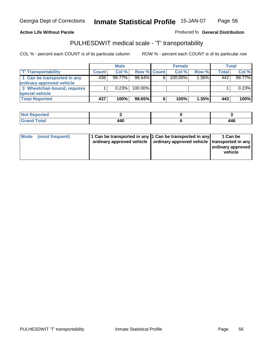#### **Inmate Statistical Profile** 15-JAN-07 Page Page 56

### **Active Life Without Parole Produced fo Seneral Distribution**

### PULHESDWIT medical scale - 'T' transportability

|                              |              | <b>Male</b> |                    |   | <b>Female</b> |          |              | <b>Total</b> |
|------------------------------|--------------|-------------|--------------------|---|---------------|----------|--------------|--------------|
| <b>T' Transportability</b>   | <b>Count</b> | Col%        | <b>Row % Count</b> |   | Col%          | Row %    | <b>Total</b> | Col %        |
| 1 Can be transported in any  | 436'         | $99.77\%$   | $98.64\%$          | 6 | 100.00%       | $1.36\%$ | 442          | 99.77%       |
| ordinary approved vehicle    |              |             |                    |   |               |          |              |              |
| 3 Wheelchair-bound, requires |              | 0.23%       | 100.00%            |   |               |          |              | 0.23%        |
| special vehicle              |              |             |                    |   |               |          |              |              |
| <b>Total Reported</b>        | 437          | 100%        | 98.65%             | 6 | 100%          | 1.35%    | 443          | 100%         |

| Reported    |     |     |
|-------------|-----|-----|
| <b>otal</b> | 440 | 446 |

|  | Mode (most frequent) | 1 Can be transported in any 1 Can be transported in any | ordinary approved vehicle   ordinary approved vehicle   transported in any | 1 Can be<br>ordinary approved<br>vehicle |
|--|----------------------|---------------------------------------------------------|----------------------------------------------------------------------------|------------------------------------------|
|--|----------------------|---------------------------------------------------------|----------------------------------------------------------------------------|------------------------------------------|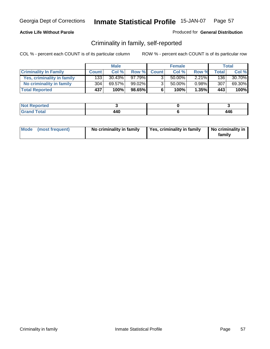### **Active Life Without Parole**

### Produced for **General Distribution**

### Criminality in family, self-reported

|                              |              | <b>Male</b> |           |              | <b>Female</b> |          |              | Total  |
|------------------------------|--------------|-------------|-----------|--------------|---------------|----------|--------------|--------|
| <b>Criminality In Family</b> | <b>Count</b> | Col %       | Row %     | <b>Count</b> | Col %         | Row %    | <b>Total</b> | Col %  |
| Yes, criminality in family   | 1331         | $30.43\%$   | 97.79%    | 3            | 50.00%        | $2.21\%$ | 136          | 30.70% |
| No criminality in family     | 304          | 69.57%      | $99.02\%$ | 3            | 50.00%        | $0.98\%$ | 307          | 69.30% |
| <b>Total Reported</b>        | 437'         | 100%        | 98.65%    | 6            | 100%          | 1.35%    | 443          | 100%   |

| ported<br><b>NO</b><br><b>IJCK</b> |                     |               |
|------------------------------------|---------------------|---------------|
| $\sim$<br>Gran<br>---              | 40<br>14V<br>$\sim$ | A A C<br>44 U |

| Mode (most frequent) | No criminality in family | Yes, criminality in family | No criminality in<br>family |
|----------------------|--------------------------|----------------------------|-----------------------------|
|----------------------|--------------------------|----------------------------|-----------------------------|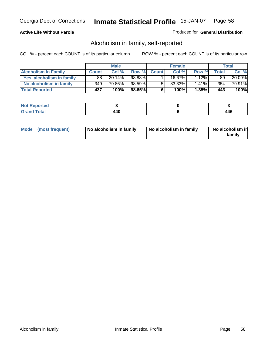### **Active Life Without Parole**

### Produced for **General Distribution**

### Alcoholism in family, self-reported

|                             |              | <b>Male</b> |           |              | <b>Female</b> |          |       | Total  |
|-----------------------------|--------------|-------------|-----------|--------------|---------------|----------|-------|--------|
| <b>Alcoholism In Family</b> | <b>Count</b> | Col %       | Row %     | <b>Count</b> | Col %         | Row %    | Total | Col %  |
| Yes, alcoholism in family   | 88           | 20.14%      | 98.88%    |              | 16.67%        | $1.12\%$ | 89    | 20.09% |
| No alcoholism in family     | 349          | 79.86%      | $98.59\%$ | 5            | 83.33%        | $1.41\%$ | 354   | 79.91% |
| <b>Total Reported</b>       | 437          | 100%        | 98.65%    | 6            | 100%          | $1.35\%$ | 443   | 100%   |

| <b>Not</b><br>oorted<br><b>IJCI</b> |               |           |
|-------------------------------------|---------------|-----------|
| Total<br>Gran<br>---                | 440<br>$\sim$ | <b>AC</b> |

|  | Mode (most frequent) | No alcoholism in family | No alcoholism in family | No alcoholism in<br>familv |
|--|----------------------|-------------------------|-------------------------|----------------------------|
|--|----------------------|-------------------------|-------------------------|----------------------------|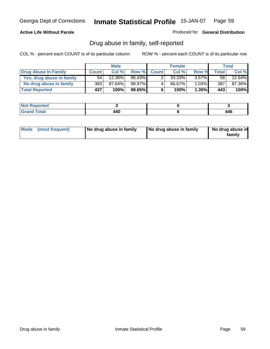### **Active Life Without Parole**

Produced for **General Distribution**

### Drug abuse in family, self-reported

|                           |              | <b>Male</b>          |        |              | <b>Female</b> |          |       | <b>Total</b> |
|---------------------------|--------------|----------------------|--------|--------------|---------------|----------|-------|--------------|
| Drug Abuse In Family      | <b>Count</b> | Col %                | Row %  | <b>Count</b> | Col %         | Row %    | Total | Col %        |
| Yes, drug abuse in family | 54           | $12.\overline{36\%}$ | 96.43% |              | 33.33%        | $3.57\%$ | 56    | 12.64%       |
| No drug abuse in family   | 383          | 87.64%               | 98.97% | 4            | 66.67%        | $1.03\%$ | 387   | 87.36%       |
| <b>Total Reported</b>     | 437          | 100%                 | 98.65% | 6            | 100%          | $1.35\%$ | 443   | 100%         |

| ported<br><b>NO</b><br><b>IJCK</b> |                     |               |
|------------------------------------|---------------------|---------------|
| $\sim$<br>Gran<br>---              | 40<br>14V<br>$\sim$ | A A C<br>44 U |

|  | Mode (most frequent) | No drug abuse in family | No drug abuse in family | No drug abuse in<br>family |
|--|----------------------|-------------------------|-------------------------|----------------------------|
|--|----------------------|-------------------------|-------------------------|----------------------------|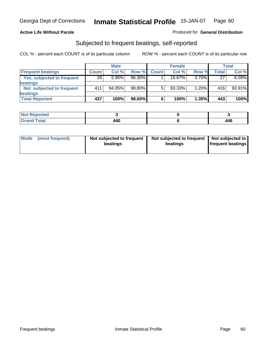### **Active Life Without Parole**

### Produced for **General Distribution**

### Subjected to frequent beatings, self-reported

|                            |              | <b>Male</b> |        |              | <b>Female</b> |       |       | <b>Total</b> |
|----------------------------|--------------|-------------|--------|--------------|---------------|-------|-------|--------------|
| <b>Frequent beatings</b>   | <b>Count</b> | Col%        | Row %  | <b>Count</b> | Col%          | Row % | Total | Col %        |
| Yes, subjected to frequent | 26           | 5.95%       | 96.30% |              | $16.67\%$     | 3.70% | 27    | 6.09%        |
| <b>beatings</b>            |              |             |        |              |               |       |       |              |
| Not subjected to frequent  | 411          | 94.05%      | 98.80% | 5            | 83.33%        | 1.20% | 416   | 93.91%       |
| <b>beatings</b>            |              |             |        |              |               |       |       |              |
| <b>Total Reported</b>      | 437          | 100%        | 98.65% | 6            | 100%          | 1.35% | 443   | 100%         |

| <b>Not Reported</b> |      |                |
|---------------------|------|----------------|
| Total               | 18 A | $\overline{A}$ |
| Crope               | 44V  | 44V            |

| Mode<br>(most frequent) | beatings | Not subjected to frequent | Not subjected to frequent<br>beatings | Not subjected to<br><b>frequent beatings</b> |
|-------------------------|----------|---------------------------|---------------------------------------|----------------------------------------------|
|                         |          |                           |                                       |                                              |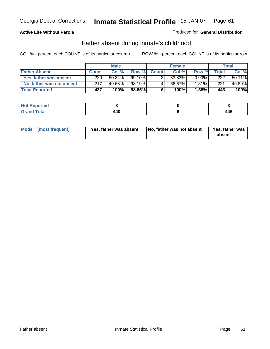### **Active Life Without Parole**

### Produced for **General Distribution**

### Father absent during inmate's childhood

|                           |              | <b>Male</b> |           |              | <b>Female</b> |          |       | Total  |
|---------------------------|--------------|-------------|-----------|--------------|---------------|----------|-------|--------|
| <b>Father Absent</b>      | <b>Count</b> | Col %       | Row %     | <b>Count</b> | Col %         | Row %    | Total | Col %  |
| Yes, father was absent    | 220          | $50.34\%$   | $99.10\%$ |              | 33.33%        | $0.90\%$ | 222   | 50.11% |
| No, father was not absent | 217          | 49.66%      | 98.19%    | 4            | 66.67%        | $1.81\%$ | 221   | 49.89% |
| <b>Total Reported</b>     | 437          | 100%        | $98.65\%$ | 6            | 100%          | 1.35%    | 443   | 100%   |

| ported<br><b>NOT</b><br><b>IJCI</b> |               |       |
|-------------------------------------|---------------|-------|
| Total<br>Gran<br>---                | 440<br>$\sim$ | A A C |

|  | Mode (most frequent) | Yes, father was absent | No, father was not absent | Yes, father was<br>absent |
|--|----------------------|------------------------|---------------------------|---------------------------|
|--|----------------------|------------------------|---------------------------|---------------------------|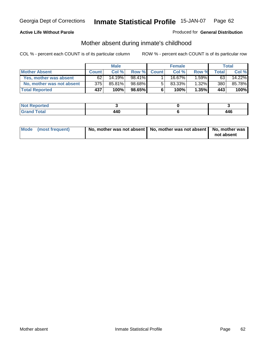### **Active Life Without Parole**

### Produced for **General Distribution**

### Mother absent during inmate's childhood

|                           |              | <b>Male</b> |           |              | <b>Female</b> |          |       | Total  |
|---------------------------|--------------|-------------|-----------|--------------|---------------|----------|-------|--------|
| <b>Mother Absent</b>      | <b>Count</b> | Col %       | Row %     | <b>Count</b> | Col %         | Row %    | Total | Col %  |
| Yes, mother was absent    | 62           | 14.19%      | 98.41%    |              | 16.67%        | $1.59\%$ | 63    | 14.22% |
| No, mother was not absent | 375          | 85.81%      | 98.68%    | 5            | $83.33\%$     | $1.32\%$ | 380   | 85.78% |
| <b>Total Reported</b>     | 437          | 100%        | $98.65\%$ | 6            | 100%          | $1.35\%$ | 443   | 100%   |

| <b>Not Reported</b>           |             |                         |
|-------------------------------|-------------|-------------------------|
| <b>fotal</b><br>Cran<br>_____ | .<br>$\sim$ | I A C<br>44 U<br>$\sim$ |

| Mode (most frequent) | No, mother was not absent   No, mother was not absent   No, mother was | not absent |
|----------------------|------------------------------------------------------------------------|------------|
|----------------------|------------------------------------------------------------------------|------------|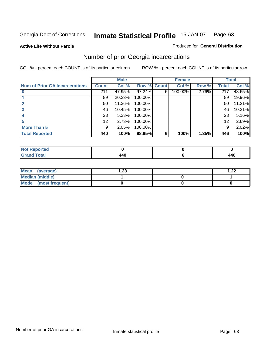**Active Life Without Parole** 

#### Produced for **General Distribution**

# Number of prior Georgia incarcerations

|                                |                 | <b>Male</b> |         |              | <b>Female</b> |       |       | <b>Total</b> |
|--------------------------------|-----------------|-------------|---------|--------------|---------------|-------|-------|--------------|
| Num of Prior GA Incarcerations | <b>Count</b>    | Col %       | Row %   | <b>Count</b> | Col %         | Row % | Total | Col %        |
|                                | 211             | 47.95%      | 97.24%  | 6            | 100.00%       | 2.76% | 217   | 48.65%       |
|                                | 89              | 20.23%      | 100.00% |              |               |       | 89    | 19.96%       |
|                                | 50              | 11.36%      | 100.00% |              |               |       | 50    | 11.21%       |
|                                | 46              | 10.45%      | 100.00% |              |               |       | 46    | 10.31%       |
|                                | 23              | 5.23%       | 100.00% |              |               |       | 23    | 5.16%        |
|                                | 12 <sup>2</sup> | 2.73%       | 100.00% |              |               |       | 12    | 2.69%        |
| <b>More Than 5</b>             | 9               | 2.05%       | 100.00% |              |               |       | 9     | 2.02%        |
| <b>Total Reported</b>          | 440             | 100%        | 98.65%  | 6            | 100%          | 1.35% | 446   | 100%         |

| .<br>теа<br>N |         |                                  |
|---------------|---------|----------------------------------|
| ota.          | _______ | $\overline{A}$<br>44 U<br>$\sim$ |

| Mean (average)       | ົາາ<br>I.ZJ | ົດດ<br>. |
|----------------------|-------------|----------|
| Median (middle)      |             |          |
| Mode (most frequent) |             |          |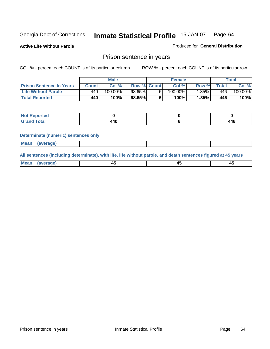**Active Life Without Parole** 

Produced for **General Distribution**

### Prison sentence in years

COL % - percent each COUNT is of its particular column ROW % - percent each COUNT is of its particular row

|                                 | <b>Male</b> |            |                    | <b>Female</b> |            |       | Total        |         |
|---------------------------------|-------------|------------|--------------------|---------------|------------|-------|--------------|---------|
| <b>Prison Sentence In Years</b> | Count       | Col %      | <b>Row % Count</b> |               | Col %      | Row % | <b>Total</b> | Col %   |
| <b>Life Without Parole</b>      | 440         | $100.00\%$ | 98.65%             |               | $100.00\%$ | .35%  | 446'         | 100.00% |
| <b>Total Reported</b>           | 440         | 100%       | 98.65%             |               | 100%       | 1.35% | 446'         | 100%    |

| oorted<br>NOT |       |     |
|---------------|-------|-----|
| <b>Total</b>  | A A C | 446 |

#### **Determinate (numeric) sentences only**

| <b>Mean</b> | <i>(average)</i> |  |  |
|-------------|------------------|--|--|

**All sentences (including determinate), with life, life without parole, and death sentences figured at 45 years**

| ' Mea<br>— апес<br>--<br>$\sim$ |  |  |
|---------------------------------|--|--|
|---------------------------------|--|--|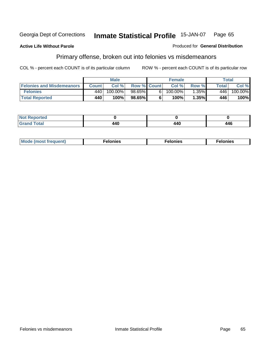#### **Active Life Without Parole**

#### Produced for **General Distribution**

# Primary offense, broken out into felonies vs misdemeanors

|                                  | <b>Male</b> |         |                    | <b>Female</b> |            |          | Total        |         |
|----------------------------------|-------------|---------|--------------------|---------------|------------|----------|--------------|---------|
| <b>Felonies and Misdemeanors</b> | Count l     | Col %   | <b>Row % Count</b> |               | Col%       | Row %    | <b>Total</b> | Col %   |
| <b>Felonies</b>                  | 440         | 100.00% | $98.65\%$          | 61            | $100.00\%$ | $1.35\%$ | 446          | 100.00% |
| <b>Total Reported</b>            | 440         | 100%    | 98.65%             |               | 100%       | .35%     | 446          | 100%    |

| ted.<br>NO:<br>$\sim$ |                |     |     |
|-----------------------|----------------|-----|-----|
| --                    | $\overline{ }$ | 440 | 446 |

| M <sub>0</sub><br>. | צאור<br>. | . |
|---------------------|-----------|---|
|---------------------|-----------|---|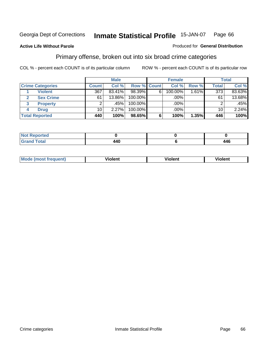#### **Active Life Without Parole**

#### Produced for **General Distribution**

### Primary offense, broken out into six broad crime categories

|   |                         |                 | <b>Male</b> |                    |             | <b>Female</b> |                     |                 | Total  |
|---|-------------------------|-----------------|-------------|--------------------|-------------|---------------|---------------------|-----------------|--------|
|   | <b>Crime Categories</b> | <b>Count</b>    | Col %       | <b>Row % Count</b> |             | Col %         | Row %               | <b>Total</b>    | Col %  |
|   | <b>Violent</b>          | 367             | 83.41%      | 98.39%             | $6^{\circ}$ | 100.00%       | $1.\overline{61\%}$ | 373             | 83.63% |
| 2 | <b>Sex Crime</b>        | 61              | 13.86%      | 100.00%            |             | .00%          |                     | 61              | 13.68% |
| 3 | <b>Property</b>         | 2               | .45%        | 100.00%            |             | .00%          |                     |                 | .45%   |
| 4 | <b>Drug</b>             | 10 <sup>1</sup> | 2.27%       | $100.00\%$         |             | $.00\%$       |                     | 10 <sup>1</sup> | 2.24%  |
|   | <b>Total Reported</b>   | 440             | 100%        | 98.65%             | 6           | 100%          | 1.35%               | 446             | 100%   |

| ____ | $\overline{ }$<br>$\sim$ | AAF.<br>┱┯∪ |
|------|--------------------------|-------------|

| Mode<br>frequent)<br>ns | - --<br>'ıolent | <br>Violent | ′iolent |
|-------------------------|-----------------|-------------|---------|
|                         |                 |             |         |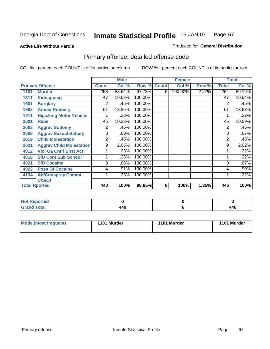### **Active Life Without Parole**

#### Produced for **General Distribution**

# Primary offense, detailed offense code

|      |                                 |              | <b>Male</b> |         |                    | <b>Female</b> |       |                | <b>Total</b> |
|------|---------------------------------|--------------|-------------|---------|--------------------|---------------|-------|----------------|--------------|
|      | <b>Primary Offense</b>          | <b>Count</b> | Col %       |         | <b>Row % Count</b> | Col %         | Row % | <b>Total</b>   | Col %        |
| 1101 | <b>Murder</b>                   | 258          | 58.64%      | 97.73%  | 6                  | 100.00%       | 2.27% | 264            | 59.19%       |
| 1311 | <b>Kidnapping</b>               | 47           | 10.68%      | 100.00% |                    |               |       | 47             | 10.54%       |
| 1601 | <b>Burglary</b>                 | 2            | .45%        | 100.00% |                    |               |       | $\overline{2}$ | .45%         |
| 1902 | <b>Armed Robbery</b>            | 61           | 13.86%      | 100.00% |                    |               |       | 61             | 13.68%       |
| 1911 | <b>Hijacking Motor Vehicle</b>  |              | .23%        | 100.00% |                    |               |       |                | .22%         |
| 2001 | Rape                            | 45           | 10.23%      | 100.00% |                    |               |       | 45             | 10.09%       |
| 2003 | <b>Aggrav Sodomy</b>            | 2            | .45%        | 100.00% |                    |               |       | 2              | .45%         |
| 2009 | <b>Aggrav Sexual Battery</b>    | 3            | .68%        | 100.00% |                    |               |       | 3              | .67%         |
| 2019 | <b>Child Molestation</b>        | 2            | .45%        | 100.00% |                    |               |       | 2              | .45%         |
| 2021 | <b>Aggrav Child Molestation</b> | 9            | 2.05%       | 100.00% |                    |               |       | 9              | 2.02%        |
| 4012 | <b>Viol Ga Cntrl Sbst Act</b>   |              | .23%        | 100.00% |                    |               |       |                | .22%         |
| 4018 | <b>S/D Cont Sub School</b>      |              | .23%        | 100.00% |                    |               |       |                | .22%         |
| 4021 | <b>S/D Cocaine</b>              | 3            | .68%        | 100.00% |                    |               |       | 3              | .67%         |
| 4022 | <b>Poss Of Cocaine</b>          | 4            | .91%        | 100.00% |                    |               |       | 4              | .90%         |
| 4134 | <b>Att/Consprcy Commt</b>       | 1            | .23%        | 100.00% |                    |               |       |                | .22%         |
|      | C/S/Of                          |              |             |         |                    |               |       |                |              |
|      | <b>Total Rported</b>            | 440          | 100%        | 98.65%  | 6                  | 100%          | 1.35% | 446            | 100%         |

| <b>Not</b><br><b>Reported</b><br>$\sim$ |     |     |
|-----------------------------------------|-----|-----|
| <b>ctal</b><br>______                   | 440 | 446 |

| Mode (most frequent) | 1101 Murder | 1101 Murder | 1101 Murder |
|----------------------|-------------|-------------|-------------|
|                      |             |             |             |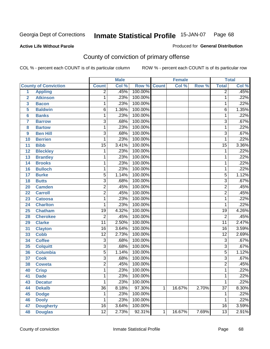### **Active Life Without Parole**

# Produced for **General Distribution**

# County of conviction of primary offense

|                         |                             |                 | <b>Male</b> |         |              | <b>Female</b> |       |                 | <b>Total</b> |
|-------------------------|-----------------------------|-----------------|-------------|---------|--------------|---------------|-------|-----------------|--------------|
|                         | <b>County of Conviction</b> | <b>Count</b>    | Col %       | Row %   | <b>Count</b> | Col %         | Row % | <b>Total</b>    | Col %        |
| 1                       | <b>Appling</b>              | $\overline{2}$  | .45%        | 100.00% |              |               |       | $\overline{2}$  | .45%         |
| $\overline{2}$          | <b>Atkinson</b>             | 1               | .23%        | 100.00% |              |               |       | 1               | .22%         |
| $\overline{\mathbf{3}}$ | <b>Bacon</b>                | $\mathbf{1}$    | .23%        | 100.00% |              |               |       | 1               | .22%         |
| 5                       | <b>Baldwin</b>              | $\overline{6}$  | 1.36%       | 100.00% |              |               |       | 6               | 1.35%        |
| 6                       | <b>Banks</b>                | 1               | .23%        | 100.00% |              |               |       | 1               | .22%         |
| $\overline{7}$          | <b>Barrow</b>               | $\overline{3}$  | .68%        | 100.00% |              |               |       | $\overline{3}$  | .67%         |
| 8                       | <b>Bartow</b>               | $\mathbf{1}$    | .23%        | 100.00% |              |               |       | $\mathbf{1}$    | .22%         |
| 9                       | <b>Ben Hill</b>             | $\overline{3}$  | .68%        | 100.00% |              |               |       | $\overline{3}$  | .67%         |
| 10                      | <b>Berrien</b>              | 1               | .23%        | 100.00% |              |               |       | 1               | .22%         |
| 11                      | <b>Bibb</b>                 | $\overline{15}$ | 3.41%       | 100.00% |              |               |       | $\overline{15}$ | 3.36%        |
| 12                      | <b>Bleckley</b>             | 1               | .23%        | 100.00% |              |               |       | 1               | .22%         |
| 13                      | <b>Brantley</b>             | 1               | .23%        | 100.00% |              |               |       | 1               | .22%         |
| 14                      | <b>Brooks</b>               | 1               | .23%        | 100.00% |              |               |       | 1               | .22%         |
| 16                      | <b>Bulloch</b>              | 1               | .23%        | 100.00% |              |               |       | 1               | .22%         |
| 17                      | <b>Burke</b>                | $\overline{5}$  | 1.14%       | 100.00% |              |               |       | $\overline{5}$  | 1.12%        |
| 18                      | <b>Butts</b>                | $\overline{3}$  | .68%        | 100.00% |              |               |       | $\overline{3}$  | .67%         |
| 20                      | <b>Camden</b>               | $\overline{2}$  | .45%        | 100.00% |              |               |       | $\overline{2}$  | .45%         |
| 22                      | <b>Carroll</b>              | $\overline{2}$  | .45%        | 100.00% |              |               |       | $\overline{2}$  | .45%         |
| 23                      | <b>Catoosa</b>              | 1               | .23%        | 100.00% |              |               |       | 1               | .22%         |
| 24                      | <b>Charlton</b>             | 1               | .23%        | 100.00% |              |               |       | 1               | .22%         |
| 25                      | <b>Chatham</b>              | $\overline{19}$ | 4.32%       | 100.00% |              |               |       | 19              | 4.26%        |
| 28                      | <b>Cherokee</b>             | $\overline{2}$  | .45%        | 100.00% |              |               |       | $\overline{2}$  | .45%         |
| 29                      | <b>Clarke</b>               | $\overline{11}$ | 2.50%       | 100.00% |              |               |       | $\overline{11}$ | 2.47%        |
| 31                      | <b>Clayton</b>              | $\overline{16}$ | 3.64%       | 100.00% |              |               |       | 16              | 3.59%        |
| 33                      | <b>Cobb</b>                 | $\overline{12}$ | 2.73%       | 100.00% |              |               |       | $\overline{12}$ | 2.69%        |
| 34                      | <b>Coffee</b>               | 3               | .68%        | 100.00% |              |               |       | $\overline{3}$  | .67%         |
| 35                      | <b>Colquitt</b>             | $\overline{3}$  | .68%        | 100.00% |              |               |       | $\overline{3}$  | .67%         |
| 36                      | <b>Columbia</b>             | $\overline{5}$  | 1.14%       | 100.00% |              |               |       | $\overline{5}$  | 1.12%        |
| 37                      | <b>Cook</b>                 | $\overline{3}$  | .68%        | 100.00% |              |               |       | $\overline{3}$  | .67%         |
| 38                      | <b>Coweta</b>               | $\overline{2}$  | .45%        | 100.00% |              |               |       | $\overline{2}$  | .45%         |
| 40                      | <b>Crisp</b>                | 1               | .23%        | 100.00% |              |               |       | 1               | .22%         |
| 41                      | <b>Dade</b>                 | 1               | .23%        | 100.00% |              |               |       | 1               | .22%         |
| 43                      | <b>Decatur</b>              | 1               | .23%        | 100.00% |              |               |       | 1               | .22%         |
| 44                      | <b>Dekalb</b>               | $\overline{36}$ | 8.18%       | 97.30%  | 1            | 16.67%        | 2.70% | $\overline{37}$ | 8.30%        |
| 45                      | <b>Dodge</b>                | 1               | .23%        | 100.00% |              |               |       | 1               | .22%         |
| 46                      | <b>Dooly</b>                | 1               | .23%        | 100.00% |              |               |       | 1               | .22%         |
| 47                      | <b>Dougherty</b>            | $\overline{16}$ | 3.64%       | 100.00% |              |               |       | 16              | 3.59%        |
| 48                      | <b>Douglas</b>              | $\overline{12}$ | 2.73%       | 92.31%  | 1            | 16.67%        | 7.69% | $\overline{13}$ | 2.91%        |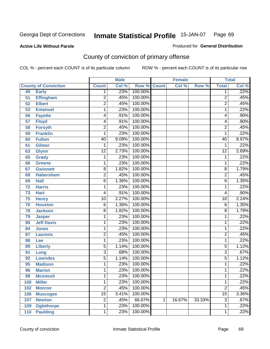Produced for **General Distribution**

### **Active Life Without Parole**

# County of conviction of primary offense

|                 |                             |                 | <b>Male</b> |                    |   | <b>Female</b> |        |                 | <b>Total</b> |
|-----------------|-----------------------------|-----------------|-------------|--------------------|---|---------------|--------|-----------------|--------------|
|                 | <b>County of Conviction</b> | <b>Count</b>    | Col %       | <b>Row % Count</b> |   | Col %         | Row %  | <b>Total</b>    | Col %        |
| 49              | <b>Early</b>                | 1               | .23%        | 100.00%            |   |               |        | 1               | .22%         |
| 51              | <b>Effingham</b>            | 2               | .45%        | 100.00%            |   |               |        | $\overline{2}$  | .45%         |
| 52              | <b>Elbert</b>               | $\overline{2}$  | .45%        | 100.00%            |   |               |        | $\overline{2}$  | .45%         |
| 53              | <b>Emanuel</b>              | 1               | .23%        | 100.00%            |   |               |        | 1               | .22%         |
| 56              | <b>Fayette</b>              | 4               | .91%        | 100.00%            |   |               |        | 4               | .90%         |
| $\overline{57}$ | <b>Floyd</b>                | 4               | .91%        | 100.00%            |   |               |        | 4               | .90%         |
| 58              | <b>Forsyth</b>              | $\overline{2}$  | .45%        | 100.00%            |   |               |        | $\overline{2}$  | .45%         |
| 59              | <b>Franklin</b>             | 1               | .23%        | 100.00%            |   |               |        | 1               | .22%         |
| 60              | <b>Fulton</b>               | 40              | 9.09%       | 100.00%            |   |               |        | 40              | 8.97%        |
| 61              | Gilmer                      | 1               | .23%        | 100.00%            |   |               |        | 1               | .22%         |
| 63              | <b>Glynn</b>                | $\overline{12}$ | 2.73%       | 100.00%            |   |               |        | $\overline{12}$ | 2.69%        |
| 65              | <b>Grady</b>                | 1               | .23%        | 100.00%            |   |               |        | 1               | .22%         |
| 66              | <b>Greene</b>               | 1               | .23%        | 100.00%            |   |               |        | 1               | .22%         |
| 67              | <b>Gwinnett</b>             | 8               | 1.82%       | 100.00%            |   |               |        | 8               | 1.79%        |
| 68              | <b>Habersham</b>            | $\overline{2}$  | .45%        | 100.00%            |   |               |        | $\overline{c}$  | .45%         |
| 69              | <b>Hall</b>                 | $\overline{6}$  | 1.36%       | 100.00%            |   |               |        | 6               | 1.35%        |
| 72              | <b>Harris</b>               | 1               | .23%        | 100.00%            |   |               |        | 1               | .22%         |
| 73              | <b>Hart</b>                 | 4               | .91%        | 100.00%            |   |               |        | 4               | .90%         |
| 75              | <b>Henry</b>                | $\overline{10}$ | 2.27%       | 100.00%            |   |               |        | 10              | 2.24%        |
| 76              | <b>Houston</b>              | 6               | 1.36%       | 100.00%            |   |               |        | 6               | 1.35%        |
| 78              | <b>Jackson</b>              | 8               | 1.82%       | 100.00%            |   |               |        | 8               | 1.79%        |
| 79              | <b>Jasper</b>               | 1               | .23%        | 100.00%            |   |               |        | 1               | .22%         |
| 80              | <b>Jeff Davis</b>           | 1               | .23%        | 100.00%            |   |               |        | 1               | .22%         |
| 84              | <b>Jones</b>                | 1               | .23%        | 100.00%            |   |               |        | 1               | .22%         |
| 87              | <b>Laurens</b>              | 2               | .45%        | 100.00%            |   |               |        | $\overline{2}$  | .45%         |
| 88              | Lee                         | 1               | .23%        | 100.00%            |   |               |        | 1               | .22%         |
| 89              | <b>Liberty</b>              | 5               | 1.14%       | 100.00%            |   |               |        | 5               | 1.12%        |
| 91              | Long                        | $\overline{3}$  | .68%        | 100.00%            |   |               |        | $\overline{3}$  | .67%         |
| 92              | <b>Lowndes</b>              | $\overline{5}$  | 1.14%       | 100.00%            |   |               |        | 5               | 1.12%        |
| 95              | <b>Madison</b>              | 1               | .23%        | 100.00%            |   |               |        | 1               | .22%         |
| 96              | <b>Marion</b>               | 1               | .23%        | 100.00%            |   |               |        | 1               | .22%         |
| 98              | <b>Mcintosh</b>             | 1               | .23%        | 100.00%            |   |               |        | 1               | .22%         |
| 100             | <b>Miller</b>               | 1               | .23%        | 100.00%            |   |               |        | 1               | .22%         |
| 102             | <b>Monroe</b>               | $\overline{2}$  | .45%        | 100.00%            |   |               |        | $\overline{2}$  | .45%         |
| 106             | <b>Muscogee</b>             | $\overline{15}$ | 3.41%       | 100.00%            |   |               |        | $\overline{15}$ | 3.36%        |
| 107             | <b>Newton</b>               | $\overline{2}$  | .45%        | 66.67%             | 1 | 16.67%        | 33.33% | $\overline{3}$  | .67%         |
| 109             | <b>Oglethorpe</b>           | 1               | .23%        | 100.00%            |   |               |        | 1               | .22%         |
| 110             | <b>Paulding</b>             | 1               | .23%        | 100.00%            |   |               |        | 1               | .22%         |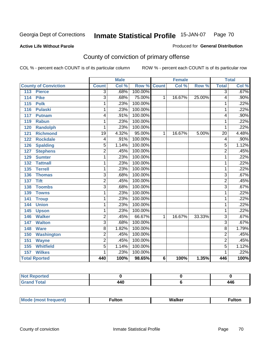### **Active Life Without Parole**

#### Produced for **General Distribution**

# County of conviction of primary offense

|                                     |                         | <b>Male</b> |                    |   | <b>Female</b> |        |                           | <b>Total</b> |
|-------------------------------------|-------------------------|-------------|--------------------|---|---------------|--------|---------------------------|--------------|
| <b>County of Conviction</b>         | <b>Count</b>            | Col %       | <b>Row % Count</b> |   | Col %         | Row %  | <b>Total</b>              | Col %        |
| 113<br><b>Pierce</b>                | $\overline{3}$          | .68%        | 100.00%            |   |               |        | $\overline{3}$            | .67%         |
| 114<br><b>Pike</b>                  | $\overline{3}$          | .68%        | 75.00%             | 1 | 16.67%        | 25.00% | 4                         | $.90\%$      |
| $\overline{115}$<br><b>Polk</b>     | 1                       | .23%        | 100.00%            |   |               |        | 1                         | .22%         |
| 116<br><b>Pulaski</b>               | 1                       | .23%        | 100.00%            |   |               |        | 1                         | .22%         |
| 117<br><b>Putnam</b>                | 4                       | .91%        | 100.00%            |   |               |        | 4                         | .90%         |
| 119<br><b>Rabun</b>                 | 1                       | .23%        | 100.00%            |   |               |        | 1                         | .22%         |
| <b>Randolph</b><br>120              | 1                       | .23%        | 100.00%            |   |               |        | 1                         | .22%         |
| $\overline{121}$<br><b>Richmond</b> | $\overline{19}$         | 4.32%       | 95.00%             | 1 | 16.67%        | 5.00%  | $\overline{20}$           | 4.48%        |
| <b>Rockdale</b><br>122              | 4                       | .91%        | 100.00%            |   |               |        | 4                         | .90%         |
| <b>Spalding</b><br>126              | 5                       | 1.14%       | 100.00%            |   |               |        | 5                         | 1.12%        |
| <b>Stephens</b><br>127              | $\overline{2}$          | .45%        | 100.00%            |   |               |        | $\overline{2}$            | .45%         |
| <b>Sumter</b><br>129                | 1                       | .23%        | 100.00%            |   |               |        | 1                         | .22%         |
| 132<br><b>Tattnall</b>              | 1                       | .23%        | 100.00%            |   |               |        | 1                         | .22%         |
| <b>Terrell</b><br>135               | 1                       | .23%        | 100.00%            |   |               |        | 1                         | .22%         |
| 136<br><b>Thomas</b>                | $\overline{3}$          | .68%        | 100.00%            |   |               |        | $\overline{3}$            | .67%         |
| <b>Tift</b><br>137                  | $\overline{2}$          | .45%        | 100.00%            |   |               |        | $\overline{2}$            | .45%         |
| <b>Toombs</b><br>138                | $\overline{\mathbf{3}}$ | .68%        | 100.00%            |   |               |        | $\overline{\overline{3}}$ | .67%         |
| <b>Towns</b><br>139                 | 1                       | .23%        | 100.00%            |   |               |        | 1                         | .22%         |
| 141<br><b>Troup</b>                 | 1                       | .23%        | 100.00%            |   |               |        | 1                         | .22%         |
| <b>Union</b><br>144                 | 1                       | .23%        | 100.00%            |   |               |        | 1                         | .22%         |
| 145<br><b>Upson</b>                 | 1                       | .23%        | 100.00%            |   |               |        | 1                         | .22%         |
| <b>Walker</b><br>146                | $\overline{2}$          | .45%        | 66.67%             | 1 | 16.67%        | 33.33% | $\overline{3}$            | .67%         |
| <b>Walton</b><br>147                | $\overline{3}$          | .68%        | 100.00%            |   |               |        | $\overline{3}$            | .67%         |
| <b>Ware</b><br>148                  | 8                       | 1.82%       | 100.00%            |   |               |        | 8                         | 1.79%        |
| 150<br><b>Washington</b>            | $\overline{2}$          | .45%        | 100.00%            |   |               |        | $\overline{2}$            | .45%         |
| <b>Wayne</b><br>151                 | 2                       | .45%        | 100.00%            |   |               |        | 2                         | .45%         |
| <b>Whitfield</b><br>155             | $\overline{5}$          | 1.14%       | 100.00%            |   |               |        | $\overline{5}$            | 1.12%        |
| <b>Wilkes</b><br>157                | 1                       | .23%        | 100.00%            |   |               |        | 1                         | .22%         |
| <b>Total Rported</b>                | 440                     | 100%        | 98.65%             | 6 | 100%          | 1.35%  | 446                       | 100%         |

| <b>Reported</b><br>NI. |     |     |
|------------------------|-----|-----|
| int<br>_____           | 440 | 446 |

| M. | MI- | 1ltr |
|----|-----|------|
|    |     |      |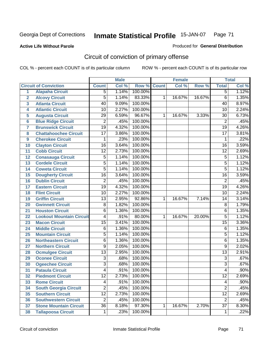**Active Life Without Parole** 

Produced for **General Distribution**

# Circuit of conviction of primary offense

|                         |                                 |                 | <b>Male</b> |             |   | <b>Female</b> |        |                 | <b>Total</b> |
|-------------------------|---------------------------------|-----------------|-------------|-------------|---|---------------|--------|-----------------|--------------|
|                         | <b>Circuit of Conviction</b>    | <b>Count</b>    | Col %       | Row % Count |   | Col %         | Row %  | <b>Total</b>    | Col %        |
| $\overline{1}$          | <b>Alapaha Circuit</b>          | $\overline{5}$  | 1.14%       | 100.00%     |   |               |        | 5               | 1.12%        |
| $\overline{\mathbf{2}}$ | <b>Alcovy Circuit</b>           | $\overline{5}$  | 1.14%       | 83.33%      | 1 | 16.67%        | 16.67% | 6               | 1.35%        |
| 3                       | <b>Atlanta Circuit</b>          | $\overline{40}$ | 9.09%       | 100.00%     |   |               |        | 40              | 8.97%        |
| 4                       | <b>Atlantic Circuit</b>         | 10              | 2.27%       | 100.00%     |   |               |        | 10              | 2.24%        |
| 5                       | <b>Augusta Circuit</b>          | $\overline{29}$ | 6.59%       | 96.67%      | 1 | 16.67%        | 3.33%  | 30              | 6.73%        |
| $6\phantom{1}6$         | <b>Blue Ridge Circuit</b>       | $\overline{2}$  | .45%        | 100.00%     |   |               |        | $\overline{2}$  | .45%         |
| $\overline{7}$          | <b>Brunswick Circuit</b>        | $\overline{19}$ | 4.32%       | 100.00%     |   |               |        | $\overline{19}$ | 4.26%        |
| 8                       | <b>Chattahoochee Circuit</b>    | 17              | 3.86%       | 100.00%     |   |               |        | $\overline{17}$ | 3.81%        |
| 9                       | <b>Cherokee Circuit</b>         | 1               | .23%        | 100.00%     |   |               |        | 1               | .22%         |
| 10                      | <b>Clayton Circuit</b>          | $\overline{16}$ | 3.64%       | 100.00%     |   |               |        | $\overline{16}$ | 3.59%        |
| 11                      | <b>Cobb Circuit</b>             | $\overline{12}$ | 2.73%       | 100.00%     |   |               |        | $\overline{12}$ | 2.69%        |
| 12                      | <b>Conasauga Circuit</b>        | $\overline{5}$  | 1.14%       | 100.00%     |   |               |        | 5               | 1.12%        |
| 13                      | <b>Cordele Circuit</b>          | $\overline{5}$  | 1.14%       | 100.00%     |   |               |        | $\overline{5}$  | 1.12%        |
| 14                      | <b>Coweta Circuit</b>           | $\overline{5}$  | 1.14%       | 100.00%     |   |               |        | 5               | 1.12%        |
| 15                      | <b>Dougherty Circuit</b>        | $\overline{16}$ | 3.64%       | 100.00%     |   |               |        | $\overline{16}$ | 3.59%        |
| 16                      | <b>Dublin Circuit</b>           | $\overline{2}$  | .45%        | 100.00%     |   |               |        | $\overline{2}$  | .45%         |
| 17                      | <b>Eastern Circuit</b>          | $\overline{19}$ | 4.32%       | 100.00%     |   |               |        | 19              | 4.26%        |
| 18                      | <b>Flint Circuit</b>            | 10              | 2.27%       | 100.00%     |   |               |        | 10              | 2.24%        |
| 19                      | <b>Griffin Circuit</b>          | $\overline{13}$ | 2.95%       | 92.86%      | 1 | 16.67%        | 7.14%  | 14              | 3.14%        |
| 20                      | <b>Gwinnett Circuit</b>         | 8               | 1.82%       | 100.00%     |   |               |        | 8               | 1.79%        |
| 21                      | <b>Houston Circuit</b>          | 6               | 1.36%       | 100.00%     |   |               |        | 6               | 1.35%        |
| 22                      | <b>Lookout Mountain Circuit</b> | 4               | .91%        | 80.00%      | 1 | 16.67%        | 20.00% | 5               | 1.12%        |
| 23                      | <b>Macon Circuit</b>            | $\overline{15}$ | 3.41%       | 100.00%     |   |               |        | $\overline{15}$ | 3.36%        |
| 24                      | <b>Middle Circuit</b>           | 6               | 1.36%       | 100.00%     |   |               |        | 6               | 1.35%        |
| 25                      | <b>Mountain Circuit</b>         | 5               | 1.14%       | 100.00%     |   |               |        | 5               | 1.12%        |
| 26                      | <b>Northeastern Circuit</b>     | $\overline{6}$  | 1.36%       | 100.00%     |   |               |        | 6               | 1.35%        |
| 27                      | <b>Northern Circuit</b>         | $\overline{9}$  | 2.05%       | 100.00%     |   |               |        | 9               | 2.02%        |
| 28                      | <b>Ocmulgee Circuit</b>         | $\overline{13}$ | 2.95%       | 100.00%     |   |               |        | $\overline{13}$ | 2.91%        |
| 29                      | <b>Oconee Circuit</b>           | $\overline{3}$  | .68%        | 100.00%     |   |               |        | $\overline{3}$  | .67%         |
| 30                      | <b>Ogeechee Circuit</b>         | $\overline{3}$  | .68%        | 100.00%     |   |               |        | $\overline{3}$  | .67%         |
| 31                      | <b>Pataula Circuit</b>          | 4               | .91%        | 100.00%     |   |               |        | 4               | .90%         |
| 32                      | <b>Piedmont Circuit</b>         | 12              | 2.73%       | 100.00%     |   |               |        | 12              | 2.69%        |
| 33                      | <b>Rome Circuit</b>             | 4               | .91%        | 100.00%     |   |               |        | 4               | .90%         |
| 34                      | <b>South Georgia Circuit</b>    | $\overline{2}$  | .45%        | 100.00%     |   |               |        | $\overline{2}$  | .45%         |
| 35                      | <b>Southern Circuit</b>         | $\overline{12}$ | 2.73%       | 100.00%     |   |               |        | $\overline{12}$ | 2.69%        |
| 36                      | <b>Southwestern Circuit</b>     | $\overline{2}$  | .45%        | 100.00%     |   |               |        | $\overline{2}$  | .45%         |
| 37                      | <b>Stone Mountain Circuit</b>   | $\overline{36}$ | 8.18%       | 97.30%      | 1 | 16.67%        | 2.70%  | $\overline{37}$ | 8.30%        |
| 38                      | <b>Tallapoosa Circuit</b>       | $\mathbf 1$     | .23%        | 100.00%     |   |               |        | 1               | .22%         |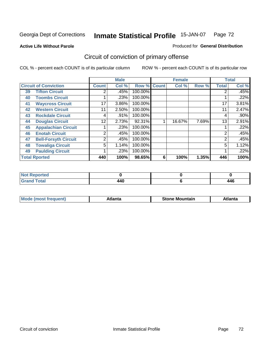**Active Life Without Parole** 

#### Produced for **General Distribution**

# Circuit of conviction of primary offense

|    |                              |              | <b>Male</b> |         |              | <b>Female</b> |       |                | <b>Total</b> |
|----|------------------------------|--------------|-------------|---------|--------------|---------------|-------|----------------|--------------|
|    | <b>Circuit of Conviction</b> | <b>Count</b> | Col %       | Row %   | <b>Count</b> | Col %         | Row % | <b>Total</b>   | Col %        |
| 39 | <b>Tifton Circuit</b>        | 2            | .45%        | 100.00% |              |               |       |                | .45%         |
| 40 | <b>Toombs Circuit</b>        |              | .23%        | 100.00% |              |               |       |                | .22%         |
| 41 | <b>Waycross Circuit</b>      | 17           | 3.86%       | 100.00% |              |               |       | 17             | 3.81%        |
| 42 | <b>Western Circuit</b>       | 11           | 2.50%       | 100.00% |              |               |       | 11             | 2.47%        |
| 43 | <b>Rockdale Circuit</b>      | 4            | .91%        | 100.00% |              |               |       | 4              | $.90\%$      |
| 44 | <b>Douglas Circuit</b>       | 12           | 2.73%       | 92.31%  |              | 16.67%        | 7.69% | 13             | 2.91%        |
| 45 | <b>Appalachian Circuit</b>   |              | .23%        | 100.00% |              |               |       |                | .22%         |
| 46 | <b>Enotah Circuit</b>        | 2            | .45%        | 100.00% |              |               |       | 2              | .45%         |
| 47 | <b>Bell-Forsyth Circuit</b>  | 2            | .45%        | 100.00% |              |               |       | $\overline{2}$ | .45%         |
| 48 | <b>Towaliga Circuit</b>      | 5            | 1.14%       | 100.00% |              |               |       | 5              | 1.12%        |
| 49 | <b>Paulding Circuit</b>      |              | .23%        | 100.00% |              |               |       |                | .22%         |
|    | <b>Total Rported</b>         | 440          | 100%        | 98.65%  | 6            | 100%          | 1.35% | 446            | 100%         |

| oorted<br>N            |     |                     |
|------------------------|-----|---------------------|
| <b>Total</b><br>$\sim$ | 440 | A A G<br><b>.46</b> |

| īМ<br>----<br>taın<br>----<br>514<br>MOL<br>нс |
|------------------------------------------------|
|------------------------------------------------|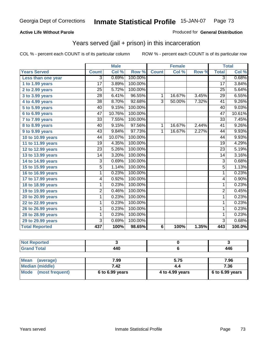### **Active Life Without Parole**

#### Produced for **General Distribution**

## Years served (jail + prison) in this incarceration

|                       |                 | <b>Male</b> |         |                 | <b>Female</b> |       |                 | <b>Total</b> |
|-----------------------|-----------------|-------------|---------|-----------------|---------------|-------|-----------------|--------------|
| <b>Years Served</b>   | <b>Count</b>    | Col %       | Row %   | <b>Count</b>    | Col %         | Row % | <b>Total</b>    | Col %        |
| Less than one year    | 3               | 0.69%       | 100.00% |                 |               |       | $\overline{3}$  | 0.68%        |
| 1 to 1.99 years       | 17              | 3.89%       | 100.00% |                 |               |       | 17              | 3.84%        |
| 2 to 2.99 years       | $\overline{25}$ | 5.72%       | 100.00% |                 |               |       | 25              | 5.64%        |
| 3 to 3.99 years       | $\overline{28}$ | 6.41%       | 96.55%  | $\mathbf{1}$    | 16.67%        | 3.45% | $\overline{29}$ | 6.55%        |
| 4 to 4.99 years       | $\overline{38}$ | 8.70%       | 92.68%  | $\overline{3}$  | 50.00%        | 7.32% | $\overline{41}$ | 9.26%        |
| 5 to 5.99 years       | 40              | 9.15%       | 100.00% |                 |               |       | 40              | 9.03%        |
| 6 to 6.99 years       | 47              | 10.76%      | 100.00% |                 |               |       | $\overline{47}$ | 10.61%       |
| 7 to 7.99 years       | $\overline{33}$ | 7.55%       | 100.00% |                 |               |       | $\overline{33}$ | 7.45%        |
| 8 to 8.99 years       | 40              | 9.15%       | 97.56%  | 1               | 16.67%        | 2.44% | 41              | 9.26%        |
| 9 to 9.99 years       | 43              | 9.84%       | 97.73%  | 1               | 16.67%        | 2.27% | 44              | 9.93%        |
| 10 to 10.99 years     | 44              | 10.07%      | 100.00% |                 |               |       | 44              | 9.93%        |
| 11 to 11.99 years     | 19              | 4.35%       | 100.00% |                 |               |       | 19              | 4.29%        |
| 12 to 12.99 years     | $\overline{23}$ | 5.26%       | 100.00% |                 |               |       | $\overline{23}$ | 5.19%        |
| 13 to 13.99 years     | $\overline{14}$ | 3.20%       | 100.00% |                 |               |       | $\overline{14}$ | 3.16%        |
| 14 to 14.99 years     | 3               | 0.69%       | 100.00% |                 |               |       | $\overline{3}$  | 0.68%        |
| 15 to 15.99 years     | 5               | 1.14%       | 100.00% |                 |               |       | $\overline{5}$  | 1.13%        |
| 16 to 16.99 years     | 1               | 0.23%       | 100.00% |                 |               |       | 1               | 0.23%        |
| 17 to 17.99 years     | 4               | 0.92%       | 100.00% |                 |               |       | 4               | 0.90%        |
| 18 to 18.99 years     | 1               | 0.23%       | 100.00% |                 |               |       | 1               | 0.23%        |
| 19 to 19.99 years     | $\overline{2}$  | 0.46%       | 100.00% |                 |               |       | $\overline{2}$  | 0.45%        |
| 20 to 20.99 years     | 1               | 0.23%       | 100.00% |                 |               |       | $\mathbf{1}$    | 0.23%        |
| 22 to 22.99 years     | 1               | 0.23%       | 100.00% |                 |               |       | 1               | 0.23%        |
| 26 to 26.99 years     | 1               | 0.23%       | 100.00% |                 |               |       | 1               | 0.23%        |
| 28 to 28.99 years     | 1               | 0.23%       | 100.00% |                 |               |       | 1               | 0.23%        |
| 29 to 29.99 years     | 3               | 0.69%       | 100.00% |                 |               |       | 3               | 0.68%        |
| <b>Total Reported</b> | 437             | 100%        | 98.65%  | $6\phantom{1}6$ | 100%          | 1.35% | 443             | 100.0%       |

| <b>Not Reported</b>      |                 |                 |                 |
|--------------------------|-----------------|-----------------|-----------------|
| <b>Grand Total</b>       | 440             |                 | 446             |
|                          |                 |                 |                 |
| <b>Mean</b><br>(average) | 7.99            | 5.75            | 7.96            |
| <b>Median (middle)</b>   | 7.42            |                 | 7.36            |
| Mode<br>(most frequent)  | 6 to 6.99 years | 4 to 4.99 years | 6 to 6.99 years |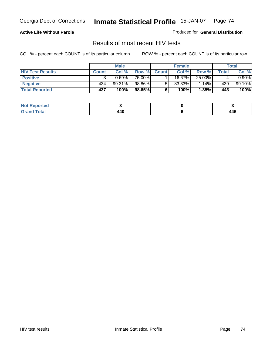### **Active Life Without Parole**

Produced for **General Distribution**

## Results of most recent HIV tests

|                         |              | <b>Male</b> |        |              | <b>Female</b> |        |       | Total    |
|-------------------------|--------------|-------------|--------|--------------|---------------|--------|-------|----------|
| <b>HIV Test Results</b> | <b>Count</b> | Col %       | Row %  | <b>Count</b> | Col %         | Row %  | Total | Col %    |
| <b>Positive</b>         |              | 0.69%       | 75.00% |              | 16.67%        | 25.00% |       | $0.90\%$ |
| <b>Negative</b>         | 434          | 99.31%      | 98.86% |              | $83.33\%$     | 1.14%  | 439   | 99.10%   |
| <b>Total Reported</b>   | 437          | 100%        | 98.65% |              | 100%          | 1.35%  | 443   | 100%     |

| <b>Not Reported</b>  |               |               |
|----------------------|---------------|---------------|
| <b>Total</b><br>Gr2r | 1 A N<br>+4 U | 446<br>$\sim$ |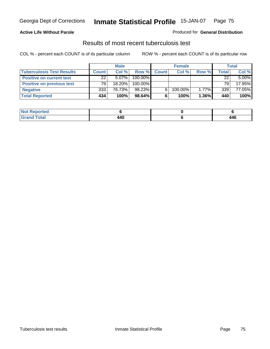### **Active Life Without Parole**

#### Produced for **General Distribution**

## Results of most recent tuberculosis test

|                                  |              | <b>Male</b> |         |              | <b>Female</b> |       |       | Total    |
|----------------------------------|--------------|-------------|---------|--------------|---------------|-------|-------|----------|
| <b>Tuberculosis Test Results</b> | <b>Count</b> | Col%        | Row %   | <b>Count</b> | Col%          | Row % | Total | Col %    |
| <b>Positive on current test</b>  | 22           | $5.07\%$    | 100.00% |              |               |       | 22    | $5.00\%$ |
| <b>Positive on previous test</b> | 79           | $18.20\%$   | 100.00% |              |               |       | 79    | 17.95%   |
| <b>Negative</b>                  | 333          | 76.73%      | 98.23%  | 6            | 100.00%       | 1.77% | 339   | 77.05%   |
| <b>Total Reported</b>            | 434          | 100%        | 98.64%  | 6            | 100%          | 1.36% | 440   | 100%     |

| <b>Not Reported</b> |                |               |
|---------------------|----------------|---------------|
| <b>Total</b>        | 11 N<br>$\sim$ | 1 A C<br>44 U |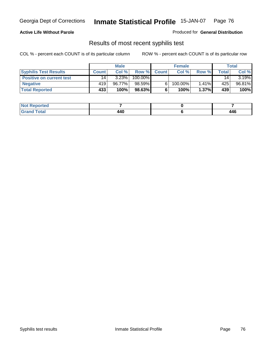### **Active Life Without Parole**

Produced for **General Distribution**

## Results of most recent syphilis test

|                                 |              | <b>Male</b> |         |              | <b>Female</b> |          |       | Total  |
|---------------------------------|--------------|-------------|---------|--------------|---------------|----------|-------|--------|
| <b>Syphilis Test Results</b>    | <b>Count</b> | Col%        | Row %   | <b>Count</b> | Col%          | Row %    | Total | Col %  |
| <b>Positive on current test</b> | 14           | 3.23%       | 100.00% |              |               |          | 14    | 3.19%  |
| <b>Negative</b>                 | 419'         | 96.77%      | 98.59%  |              | 100.00%       | $1.41\%$ | 425   | 96.81% |
| <b>Total Reported</b>           | 433          | 100%        | 98.63%  |              | 100%          | $1.37\%$ | 439   | 100%   |

| <b>Not Reported</b> |     |               |
|---------------------|-----|---------------|
| <b>Grand Total</b>  | 440 | 446<br>$\sim$ |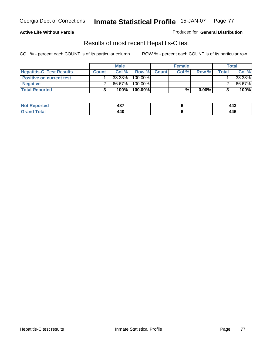### **Active Life Without Parole**

Produced for **General Distribution**

## Results of most recent Hepatitis-C test

|                                 |              | <b>Male</b> |         |             | <b>Female</b> |          |              | <b>Total</b> |
|---------------------------------|--------------|-------------|---------|-------------|---------------|----------|--------------|--------------|
| <b>Hepatitis-C Test Results</b> | <b>Count</b> | Col%        |         | Row % Count | Col %         | Row %    | <b>Total</b> | Col %        |
| <b>Positive on current test</b> |              | 33.33%      | 100.00% |             |               |          |              | 33.33%       |
| <b>Negative</b>                 |              | 66.67%      | 100.00% |             |               |          |              | 66.67%       |
| <b>Total Reported</b>           |              | 100%        | 100.00% |             | %             | $0.00\%$ |              | 100%         |

| <b>Not Reported</b> | $10-$<br>−~   | 443 |
|---------------------|---------------|-----|
| <b>Total</b><br>Gr2 | 1 A C<br>44 V | 446 |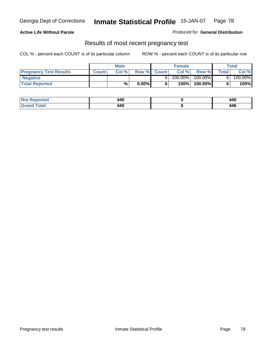### **Active Life Without Parole**

Produced for **General Distribution**

### Results of most recent pregnancy test

|                               |              | <b>Male</b> |          |              | <b>Female</b> |         |              | <b>Total</b> |
|-------------------------------|--------------|-------------|----------|--------------|---------------|---------|--------------|--------------|
| <b>Pregnancy Test Results</b> | <b>Count</b> | Col%        | Row %    | <b>Count</b> | Col %         | Row %   | <b>Total</b> | Col %        |
| <b>Negative</b>               |              |             |          |              | 100.00%       | 100.00% |              | 100.00%      |
| <b>Total Reported</b>         |              | %           | $0.00\%$ |              | 100%          | 100.00% |              | 100%         |

| Reported<br><b>NOT</b> | 440                  | 440         |
|------------------------|----------------------|-------------|
| <b>otal</b><br>.       | 11 N<br>44 U<br>$ -$ | 446<br>$ -$ |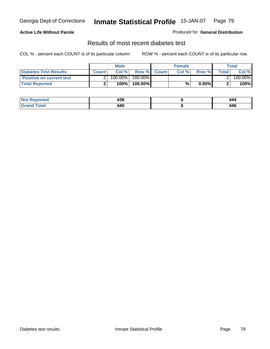### **Active Life Without Parole**

#### Produced for **General Distribution**

## Results of most recent diabetes test

|                                 | <b>Male</b>  |         |            | <b>Female</b> |      |          | Total        |         |
|---------------------------------|--------------|---------|------------|---------------|------|----------|--------------|---------|
| <b>Diabetes Test Results</b>    | <b>Count</b> | Col %   |            | Row % Count   | Col% | Row %    | <b>Total</b> | Col %   |
| <b>Positive on current test</b> |              | 100.00% | $100.00\%$ |               |      |          |              | 100.00% |
| <b>Total Reported</b>           |              | 100%    | 100.00%    |               | %    | $0.00\%$ |              | 100%    |

| Reported             | 190<br>490           | 444         |
|----------------------|----------------------|-------------|
| <b>otal</b><br>_____ | 11 N<br>44 U<br>$ -$ | 446<br>$ -$ |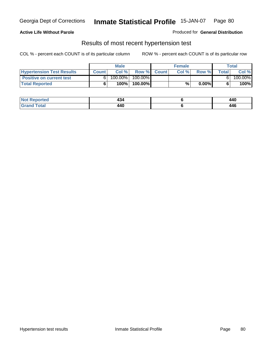### **Active Life Without Parole**

#### Produced for **General Distribution**

### Results of most recent hypertension test

|                                  | <b>Male</b>  |         |            | <b>Female</b> |      |          | Total  |         |
|----------------------------------|--------------|---------|------------|---------------|------|----------|--------|---------|
| <b>Hypertension Test Results</b> | <b>Count</b> | Col %   |            | Row % Count   | Col% | Row %    | Totall | Col %   |
| <b>Positive on current test</b>  |              | 100.00% | $100.00\%$ |               |      |          |        | 100.00% |
| <b>Total Reported</b>            |              | 100%    | 100.00%    |               | %    | $0.00\%$ |        | 100%    |

| Reported<br><b>NOT</b> | . .<br>404          | 440         |
|------------------------|---------------------|-------------|
| <b>otal</b><br>_____   | 11N<br>44 U<br>$ -$ | 446<br>$ -$ |